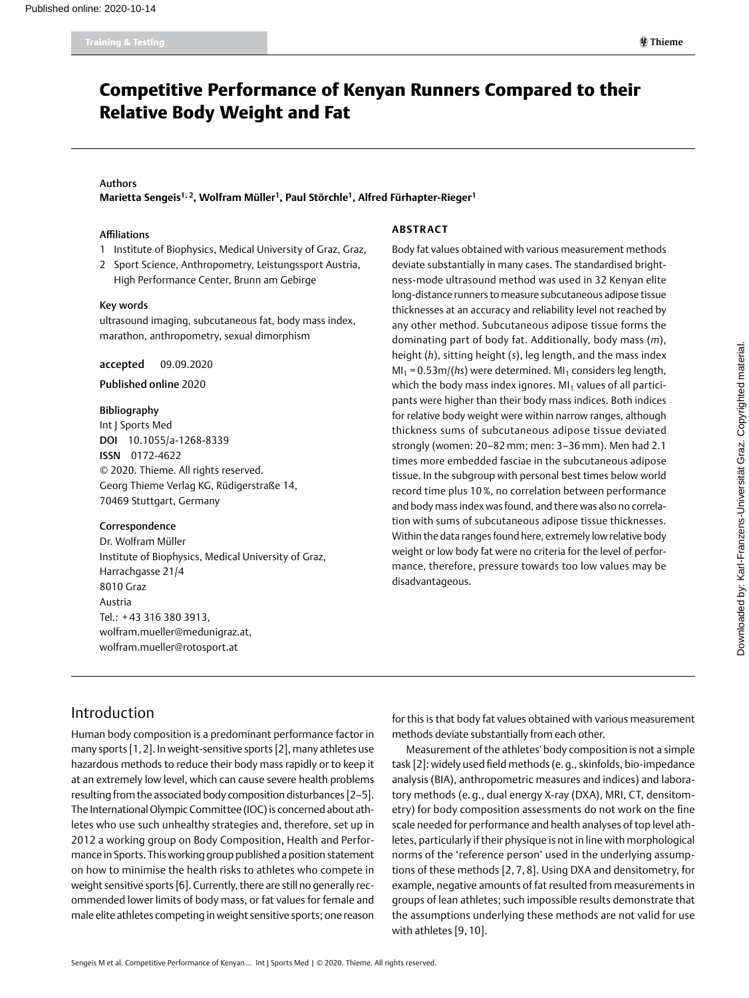# Competitive Performance of Kenyan Runners Compared to their Relative Body Weight and Fat

#### Authors

**Marietta Sengeis1, 2, Wolfram Müller1, Paul Störchle1, Alfred Fürhapter-Rieger1**

#### Affiliations

- 1 Institute of Biophysics, Medical University of Graz, Graz,
- 2 Sport Science, Anthropometry, Leistungssport Austria,
- High Performance Center, Brunn am Gebirge

#### Key words

ultrasound imaging, subcutaneous fat, body mass index, marathon, anthropometry, sexual dimorphism

#### accepted 09.09.2020

#### Published online 2020

#### Bibliography

Int | Sports Med DOI [10.1055/a-1268-8339](https://doi.org/10.1055/a-1268-8339) ISSN 0172-4622 © 2020. Thieme. All rights reserved. Georg Thieme Verlag KG, Rüdigerstraße 14, 70469 Stuttgart, Germany

#### Correspondence

Dr. Wolfram Müller Institute of Biophysics, Medical University of Graz, Harrachgasse 21/4 8010 Graz Austria Tel.: + 43 316 380 3913, [wolfram.mueller@medunigraz.at](mailto:wolfram.mueller@medunigraz.at), [wolfram.mueller@rotosport.at](mailto:wolfram.mueller@rotosport.at)

#### **Abstra ct**

Body fat values obtained with various measurement methods deviate substantially in many cases. The standardised brightness-mode ultrasound method was used in 32 Kenyan elite long-distance runners to measure subcutaneous adipose tissue thicknesses at an accuracy and reliability level not reached by any other method. Subcutaneous adipose tissue forms the dominating part of body fat. Additionally, body mass (*m*), height (*h*), sitting height (*s*), leg length, and the mass index  $MI_1 = 0.53m/(hs)$  were determined. MI<sub>1</sub> considers leg length, which the body mass index ignores.  $M<sub>1</sub>$  values of all participants were higher than their body mass indices. Both indices for relative body weight were within narrow ranges, although thickness sums of subcutaneous adipose tissue deviated strongly (women: 20–82 mm; men: 3–36 mm). Men had 2.1 times more embedded fasciae in the subcutaneous adipose tissue. In the subgroup with personal best times below world record time plus 10 %, no correlation between performance and body mass index was found, and there was also no correlation with sums of subcutaneous adipose tissue thicknesses. Within the data ranges found here, extremely low relative body weight or low body fat were no criteria for the level of performance, therefore, pressure towards too low values may be disadvantageous.

## Introduction

Human body composition is a predominant performance factor in many sports [1,2]. In weight-sensitive sports [2], many athletes use hazardous methods to reduce their body mass rapidly or to keep it at an extremely low level, which can cause severe health problems resulting from the associated body composition disturbances [2–5]. The International Olympic Committee (IOC) is concerned about athletes who use such unhealthy strategies and, therefore, set up in 2012 a working group on Body Composition, Health and Performance in Sports. This working group published a position statement on how to minimise the health risks to athletes who compete in weight sensitive sports [6]. Currently, there are still no generally recommended lower limits of body mass, or fat values for female and male elite athletes competing in weight sensitive sports; one reason for this is that body fat values obtained with various measurement methods deviate substantially from each other.

Measurement of the athletes' body composition is not a simple task [2]: widely used field methods (e.g., skinfolds, bio-impedance analysis (BIA), anthropometric measures and indices) and laboratory methods (e. g., dual energy X-ray (DXA), MRI, CT, densitometry) for body composition assessments do not work on the fine scale needed for performance and health analyses of top level athletes, particularly if their physique is not in line with morphological norms of the 'reference person' used in the underlying assumptions of these methods [2, 7, 8]. Using DXA and densitometry, for example, negative amounts of fat resulted from measurements in groups of lean athletes; such impossible results demonstrate that the assumptions underlying these methods are not valid for use with athletes [9, 10].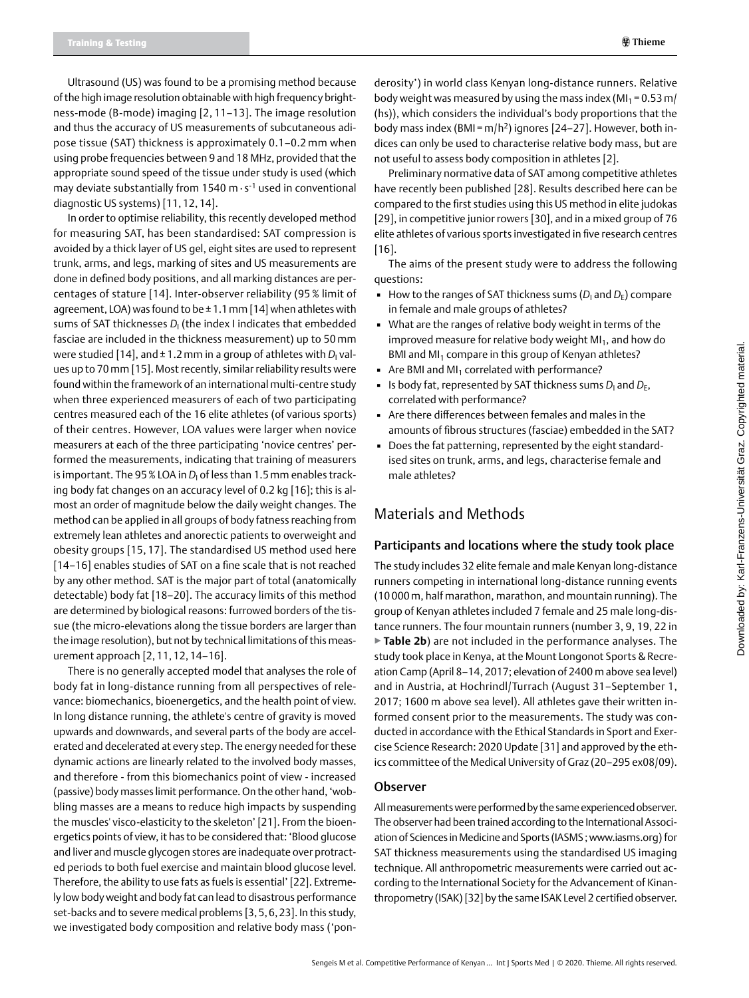Ultrasound (US) was found to be a promising method because of the high image resolution obtainable with high frequency brightness-mode (B-mode) imaging [2, 11–13]. The image resolution and thus the accuracy of US measurements of subcutaneous adipose tissue (SAT) thickness is approximately 0.1–0.2 mm when using probe frequencies between 9 and 18 MHz, provided that the appropriate sound speed of the tissue under study is used (which may deviate substantially from 1540 m ∙ s-1 used in conventional diagnostic US systems) [11, 12, 14].

In order to optimise reliability, this recently developed method for measuring SAT, has been standardised: SAT compression is avoided by a thick layer of US gel, eight sites are used to represent trunk, arms, and legs, marking of sites and US measurements are done in defined body positions, and all marking distances are percentages of stature [14]. Inter-observer reliability (95 % limit of agreement, LOA) was found to be  $\pm$  1.1 mm [14] when athletes with sums of SAT thicknesses *D*<sub>I</sub> (the index I indicates that embedded fasciae are included in the thickness measurement) up to 50 mm were studied [14], and ± 1.2 mm in a group of athletes with *D<sub>I</sub> v*alues up to 70mm [15]. Most recently, similar reliability results were found within the framework of an international multi-centre study when three experienced measurers of each of two participating centres measured each of the 16 elite athletes (of various sports) of their centres. However, LOA values were larger when novice measurers at each of the three participating 'novice centres' performed the measurements, indicating that training of measurers is important. The 95 % LOA in *D<sub>I</sub> of less than 1.5 mm enables track*ing body fat changes on an accuracy level of 0.2 kg [16]; this is almost an order of magnitude below the daily weight changes. The method can be applied in all groups of body fatness reaching from extremely lean athletes and anorectic patients to overweight and obesity groups [15, 17]. The standardised US method used here [14–16] enables studies of SAT on a fine scale that is not reached by any other method. SAT is the major part of total (anatomically detectable) body fat [18–20]. The accuracy limits of this method are determined by biological reasons: furrowed borders of the tissue (the micro-elevations along the tissue borders are larger than the image resolution), but not by technical limitations of this measurement approach [2, 11, 12, 14–16].

There is no generally accepted model that analyses the role of body fat in long-distance running from all perspectives of relevance: biomechanics, bioenergetics, and the health point of view. In long distance running, the athlete's centre of gravity is moved upwards and downwards, and several parts of the body are accelerated and decelerated at every step. The energy needed for these dynamic actions are linearly related to the involved body masses, and therefore - from this biomechanics point of view - increased (passive) body masses limit performance. On the other hand, 'wobbling masses are a means to reduce high impacts by suspending the muscles' visco-elasticity to the skeleton' [21]. From the bioenergetics points of view, it has to be considered that: 'Blood glucose and liver and muscle glycogen stores are inadequate over protracted periods to both fuel exercise and maintain blood glucose level. Therefore, the ability to use fats as fuels is essential' [22]. Extremely low body weight and body fat can lead to disastrous performance set-backs and to severe medical problems [3,5,6,23]. In this study, we investigated body composition and relative body mass ('ponderosity') in world class Kenyan long-distance runners. Relative body weight was measured by using the mass index ( $M_1 = 0.53$  m/ (hs)), which considers the individual's body proportions that the body mass index (BMI =  $m/h^2$ ) ignores [24-27]. However, both indices can only be used to characterise relative body mass, but are not useful to assess body composition in athletes [2].

Preliminary normative data of SAT among competitive athletes have recently been published [28]. Results described here can be compared to the first studies using this US method in elite judokas [29], in competitive junior rowers [30], and in a mixed group of 76 elite athletes of various sports investigated in five research centres [16].

The aims of the present study were to address the following questions:

- $\blacksquare$  How to the ranges of SAT thickness sums ( $D_1$  and  $D_E$ ) compare in female and male groups of athletes?
- . What are the ranges of relative body weight in terms of the improved measure for relative body weight  $M<sub>1</sub>$ , and how do BMI and MI<sub>1</sub> compare in this group of Kenyan athletes?
- $\blacksquare$  Are BMI and MI<sub>1</sub> correlated with performance?
- $\blacksquare$  Is body fat, represented by SAT thickness sums  $D_1$  and  $D_E$ , correlated with performance?
- Are there differences between females and males in the amounts of fibrous structures (fasciae) embedded in the SAT?
- Does the fat patterning, represented by the eight standardised sites on trunk, arms, and legs, characterise female and male athletes?

## Materials and Methods

#### Participants and locations where the study took place

The study includes 32 elite female and male Kenyan long-distance runners competing in international long-distance running events (10 000m, half marathon, marathon, and mountain running). The group of Kenyan athletes included 7 female and 25 male long-distance runners. The four mountain runners (number 3, 9, 19, 22 in ▶**Table 2b**) are not included in the performance analyses. The study took place in Kenya, at the Mount Longonot Sports & Recreation Camp (April 8–14, 2017; elevation of 2400 m above sea level) and in Austria, at Hochrindl/Turrach (August 31–September 1, 2017; 1600 m above sea level). All athletes gave their written informed consent prior to the measurements. The study was conducted in accordance with the Ethical Standards in Sport and Exercise Science Research: 2020 Update [31] and approved by the ethics committee of the Medical University of Graz (20–295 ex08/09).

#### Observer

All measurements were performed by the same experienced observer. The observer had been trained according to the International Association of Sciences in Medicine and Sports (IASMS ; www.iasms.org) for SAT thickness measurements using the standardised US imaging technique. All anthropometric measurements were carried out according to the International Society for the Advancement of Kinanthropometry (ISAK) [32] by the same ISAK Level 2 certified observer.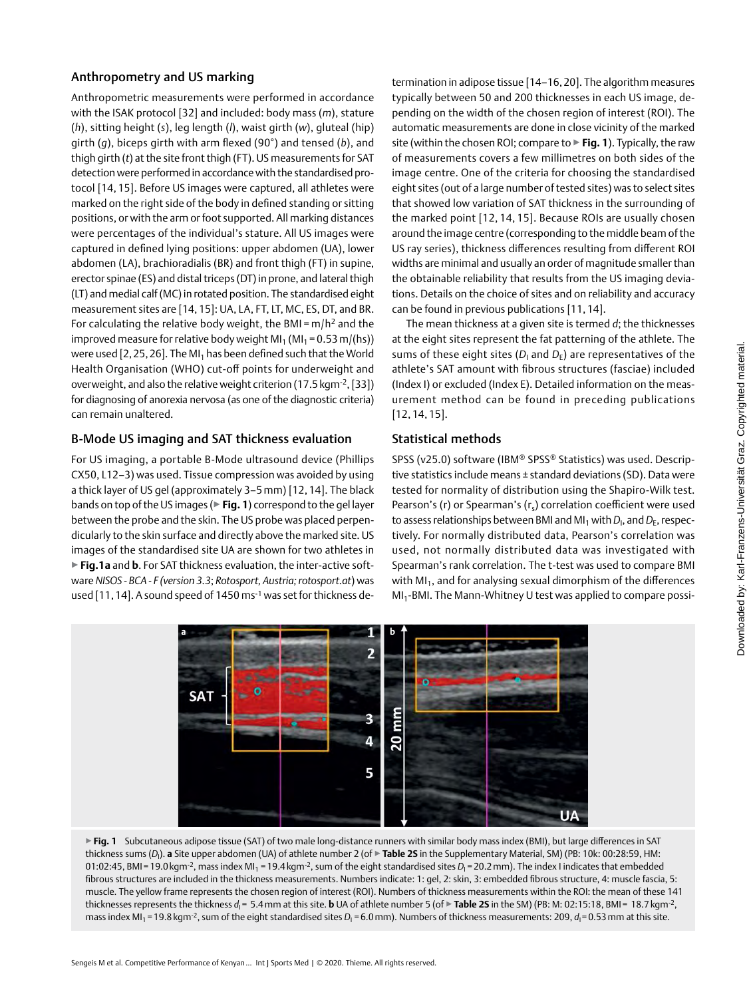### Anthropometry and US marking

Anthropometric measurements were performed in accordance with the ISAK protocol [32] and included: body mass (*m*), stature (*h*), sitting height (*s*), leg length (*l*), waist girth (*w*), gluteal (hip) girth (*g*), biceps girth with arm flexed (90°) and tensed (*b*), and thigh girth (*t*) at the site front thigh (FT). US measurements for SAT detection were performed in accordance with the standardised protocol [14, 15]. Before US images were captured, all athletes were marked on the right side of the body in defined standing or sitting positions, or with the arm or foot supported. All marking distances were percentages of the individual's stature. All US images were captured in defined lying positions: upper abdomen (UA), lower abdomen (LA), brachioradialis (BR) and front thigh (FT) in supine, erector spinae (ES) and distal triceps (DT) in prone, and lateral thigh (LT) and medial calf (MC) in rotated position. The standardised eight measurement sites are [14, 15]: UA, LA, FT, LT, MC, ES, DT, and BR. For calculating the relative body weight, the BMI =  $m/h^2$  and the improved measure for relative body weight  $MI_1 (MI_1 = 0.53 m/(hs))$ were used [2, 25, 26]. The MI<sub>1</sub> has been defined such that the World Health Organisation (WHO) cut-off points for underweight and overweight, and also the relative weight criterion (17.5kgm-2, [33]) for diagnosing of anorexia nervosa (as one of the diagnostic criteria) can remain unaltered.

### B-Mode US imaging and SAT thickness evaluation

For US imaging, a portable B-Mode ultrasound device (Phillips CX50, L12–3) was used. Tissue compression was avoided by using a thick layer of US gel (approximately 3–5 mm) [12, 14]. The black bands on top of the US images (▶**Fig. 1**) correspond to the gel layer between the probe and the skin. The US probe was placed perpendicularly to the skin surface and directly above the marked site. US images of the standardised site UA are shown for two athletes in ▶**Fig.1a** and **b**. For SAT thickness evaluation, the inter-active software *NISOS - BCA - F (version 3.3*; *Rotosport, Austria; rotosport.at*) was used [11, 14]. A sound speed of 1450 ms<sup>-1</sup> was set for thickness determination in adipose tissue [14–16,20]. The algorithm measures typically between 50 and 200 thicknesses in each US image, depending on the width of the chosen region of interest (ROI). The automatic measurements are done in close vicinity of the marked site (within the chosen ROI; compare to ▶**Fig. 1**). Typically, the raw of measurements covers a few millimetres on both sides of the image centre. One of the criteria for choosing the standardised eight sites (out of a large number of tested sites) was to select sites that showed low variation of SAT thickness in the surrounding of the marked point [12, 14, 15]. Because ROIs are usually chosen around the image centre (corresponding to the middle beam of the US ray series), thickness differences resulting from different ROI widths are minimal and usually an order of magnitude smaller than the obtainable reliability that results from the US imaging deviations. Details on the choice of sites and on reliability and accuracy can be found in previous publications [11, 14].

The mean thickness at a given site is termed *d*; the thicknesses at the eight sites represent the fat patterning of the athlete. The sums of these eight sites ( $D_{\text{I}}$  and  $D_{\text{E}}$ ) are representatives of the athlete's SAT amount with fibrous structures (fasciae) included (Index I) or excluded (Index E). Detailed information on the measurement method can be found in preceding publications [12, 14, 15].

## Statistical methods

SPSS (v25.0) software (IBM® SPSS® Statistics) was used. Descriptive statistics include means ± standard deviations (SD). Data were tested for normality of distribution using the Shapiro-Wilk test. Pearson's (r) or Spearman's  $(r_s)$  correlation coefficient were used to assess relationships between BMI and MI<sub>1</sub> with D<sub>I</sub>, and D<sub>E</sub>, respectively. For normally distributed data, Pearson's correlation was used, not normally distributed data was investigated with Spearman's rank correlation. The t-test was used to compare BMI with  $MI_1$ , and for analysing sexual dimorphism of the differences MI<sub>1</sub>-BMI. The Mann-Whitney U test was applied to compare possi-



▶ Fig. 1 Subcutaneous adipose tissue (SAT) of two male long-distance runners with similar body mass index (BMI), but large differences in SAT thickness sums (D<sub>I</sub>). **a** Site upper abdomen (UA) of athlete number 2 (of **▶ Table 2S** in the Supplementary Material, SM) (PB: 10k: 00:28:59, HM: 01:02:45, BMI=19.0 kgm<sup>-2</sup>, mass index MI<sub>1</sub> = 19.4 kgm<sup>-2</sup>, sum of the eight standardised sites D<sub>I</sub>=20.2 mm). The index I indicates that embedded fibrous structures are included in the thickness measurements. Numbers indicate: 1: gel, 2: skin, 3: embedded fibrous structure, 4: muscle fascia, 5: muscle. The yellow frame represents the chosen region of interest (ROI). Numbers of thickness measurements within the ROI: the mean of these 141 thicknesses represents the thickness *d*<sub>1</sub> = 5.4 mm at this site. **b** UA of athlete number 5 (of ▶ **Table 2S** in the SM) (PB: M: 02:15:18, BMI = 18.7 kgm<sup>-2</sup>, mass index MI<sub>1</sub> = 19.8 kgm<sup>-2</sup>, sum of the eight standardised sites D<sub>I</sub> = 6.0 mm). Numbers of thickness measurements: 209, d<sub>I</sub> = 0.53 mm at this site.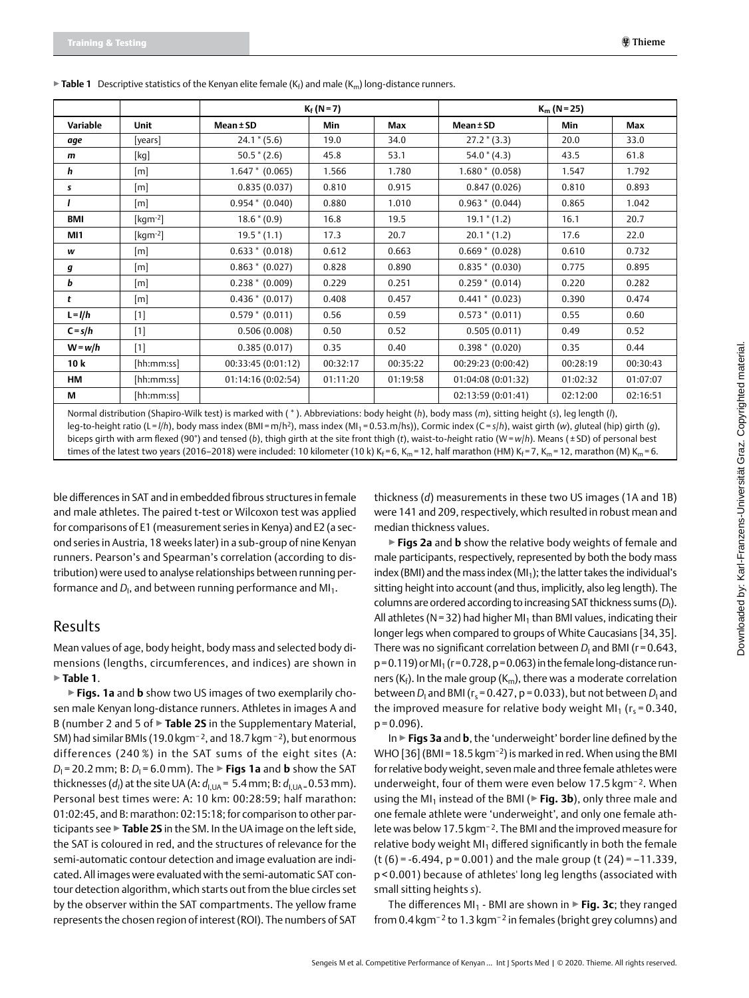|            |                              | $K_f (N = 7)$<br>$K_m$ (N = 25) |                   |          |                    |          |          |
|------------|------------------------------|---------------------------------|-------------------|----------|--------------------|----------|----------|
| Variable   | <b>Unit</b>                  | Mean ± SD                       | <b>Min</b><br>Max |          | Mean ± SD          | Min      | Max      |
| aqe        | [years]                      | $24.1 * (5.6)$                  | 19.0              | 34.0     | $27.2*(3.3)$       | 20.0     | 33.0     |
| m          | [kg]                         | $50.5*(2.6)$                    | 45.8              | 53.1     | $54.0*(4.3)$       | 43.5     | 61.8     |
| h          | $\lceil m \rceil$            | $1.647 * (0.065)$               | 1.566             | 1.780    | $1.680*(0.058)$    | 1.547    | 1.792    |
| s          | $\lceil m \rceil$            | 0.835(0.037)                    | 0.810             | 0.915    | 0.847(0.026)       | 0.810    | 0.893    |
|            | $\lceil m \rceil$            | $0.954 * (0.040)$               | 0.880             | 1.010    | $0.963 * (0.044)$  | 0.865    | 1.042    |
| <b>BMI</b> | [ $kgm^{-2}$ ]               | $18.6*(0.9)$                    | 16.8              | 19.5     | $19.1 * (1.2)$     | 16.1     | 20.7     |
| MI1        | $\lceil \text{kgm-2} \rceil$ | $19.5*(1.1)$                    | 17.3              | 20.7     | $20.1 * (1.2)$     | 17.6     | 22.0     |
| w          | $\lceil m \rceil$            | $0.633 * (0.018)$               | 0.612             | 0.663    | $0.669 * (0.028)$  | 0.610    | 0.732    |
| g          | $\lceil m \rceil$            | $0.863 * (0.027)$               | 0.828             | 0.890    | $0.835 * (0.030)$  | 0.775    | 0.895    |
| Ь          | $\lceil m \rceil$            | $0.238 * (0.009)$               | 0.229             | 0.251    | $0.259 * (0.014)$  | 0.220    | 0.282    |
| t          | [m]                          | $0.436 * (0.017)$               | 0.408             | 0.457    | $0.441 * (0.023)$  | 0.390    | 0.474    |
| $L = I/h$  | $[1]$                        | $0.579 * (0.011)$               | 0.56              | 0.59     | $0.573 * (0.011)$  | 0.55     | 0.60     |
| $C = s/h$  | $[1]$                        | 0.506(0.008)                    | 0.50              | 0.52     | 0.505(0.011)       | 0.49     | 0.52     |
| $W = w/h$  | $[1]$                        | 0.385(0.017)                    | 0.35              | 0.40     | $0.398 * (0.020)$  | 0.35     | 0.44     |
| 10k        | [hh:mm:ss]                   | 00:33:45 (0:01:12)              | 00:32:17          | 00:35:22 | 00:29:23 (0:00:42) | 00:28:19 | 00:30:43 |
| НM         | [hh:mm:ss]                   | 01:14:16 (0:02:54)              | 01:11:20          | 01:19:58 | 01:04:08 (0:01:32) | 01:02:32 | 01:07:07 |
| М          | [hh:mm:ss]                   |                                 |                   |          | 02:13:59 (0:01:41) | 02:12:00 | 02:16:51 |

 $\triangleright$  **Table 1** Descriptive statistics of the Kenyan elite female (K<sub>f</sub>) and male (K<sub>m</sub>) long-distance runners.

Normal distribution (Shapiro-Wilk test) is marked with ( \* ). Abbreviations: body height (*h*), body mass (*m*), sitting height (*s*), leg length (*l*), leg-to-height ratio (L = *l/h*), body mass index (BMI =m/h2), mass index (MI1 = 0.53.m/hs)), Cormic index (C= *s*/*h*), waist girth (*w*), *g*luteal (hip) girth (*g*), biceps girth with arm flexed (90°) and tensed (*b*), thigh girth at the site front thigh (*t*), waist-to-*h*eight ratio (W= *w*/*h*). Means ( ± SD) of personal best times of the latest two years (2016–2018) were included: 10 kilometer (10 k) Kf = 6, K<sub>m</sub> = 12, half marathon (HM) K<sub>f</sub> = 7, K<sub>m</sub> = 12, marathon (M) K<sub>m</sub> = 6.

ble differences in SAT and in embedded fibrous structures in female and male athletes. The paired t-test or Wilcoxon test was applied for comparisons of E1 (measurement series in Kenya) and E2 (a second series in Austria, 18 weeks later) in a sub-group of nine Kenyan runners. Pearson's and Spearman's correlation (according to distribution) were used to analyse relationships between running performance and D<sub>I</sub>, and between running performance and MI<sub>1</sub>.

#### Results

Mean values of age, body height, body mass and selected body dimensions (lengths, circumferences, and indices) are shown in ▶**Table 1**.

▶**Figs. 1a** and **b** show two US images of two exemplarily chosen male Kenyan long-distance runners. Athletes in images A and B (number 2 and 5 of ▶**Table 2S** in the Supplementary Material, SM) had similar BMIs (19.0 kgm<sup>-2</sup>, and 18.7 kgm<sup>-2</sup>), but enormous differences (240 %) in the SAT sums of the eight sites (A: *D*<sub>1</sub> = 20.2 mm; B: *D*<sub>1</sub> = 6.0 mm). The ► **Figs 1a** and **b** show the SAT thicknesses (*d<sub>I</sub>*) at the site UA (A: *d<sub>I,UA</sub>* = 5.4 mm; B: *d<sub>I,UA =</sub> 0.*53 mm). Personal best times were: A: 10 km: 00:28:59; half marathon: 01:02:45, and B: marathon: 02:15:18; for comparison to other participants see ▶**Table 2S** in the SM. In the UA image on the left side, the SAT is coloured in red, and the structures of relevance for the semi-automatic contour detection and image evaluation are indicated. All images were evaluated with the semi-automatic SAT contour detection algorithm, which starts out from the blue circles set by the observer within the SAT compartments. The yellow frame represents the chosen region of interest (ROI). The numbers of SAT

thickness (*d*) measurements in these two US images (1A and 1B) were 141 and 209, respectively, which resulted in robust mean and median thickness values.

▶**Figs 2a** and **b** show the relative body weights of female and male participants, respectively, represented by both the body mass index (BMI) and the mass index (MI<sub>1</sub>); the latter takes the individual's sitting height into account (and thus, implicitly, also leg length). The columns are ordered according to increasing SAT thickness sums (*D*<sup>I</sup> ). All athletes ( $N = 32$ ) had higher MI<sub>1</sub> than BMI values, indicating their longer legs when compared to groups of White Caucasians [34,35]. There was no significant correlation between D<sub>I</sub> and BMI (r=0.643,  $p = 0.119$ ) or MI<sub>1</sub> ( $r = 0.728$ ,  $p = 0.063$ ) in the female long-distance runners ( $K_f$ ). In the male group ( $K_m$ ), there was a moderate correlation between D<sub>I</sub> and BMI (r<sub>s</sub> = 0.427, p = 0.033), but not between D<sub>I</sub> and the improved measure for relative body weight MI<sub>1</sub> ( $r_s$  = 0.340,  $p = 0.096$ ).

In ▶**Figs 3a** and **b**, the 'underweight' border line defined by the WHO [36] (BMI = 18.5 kgm<sup>-2</sup>) is marked in red. When using the BMI for relative body weight, seven male and three female athletes were underweight, four of them were even below 17.5 kgm<sup>−</sup> <sup>2</sup>. When using the MI<sub>1</sub> instead of the BMI (▶ Fig. 3b), only three male and one female athlete were 'underweight', and only one female athlete was below 17.5kgm−2. The BMI and the improved measure for relative body weight  $M<sub>1</sub>$  differed significantly in both the female (t (6) = -6.494, p = 0.001) and the male group (t (24) = –11.339, p < 0.001) because of athletes' long leg lengths (associated with small sitting heights *s*).

The differences MI<sub>1</sub> - BMI are shown in ► Fig. 3c; they ranged from 0.4 kgm<sup>-2</sup> to 1.3 kgm<sup>-2</sup> in females (bright grey columns) and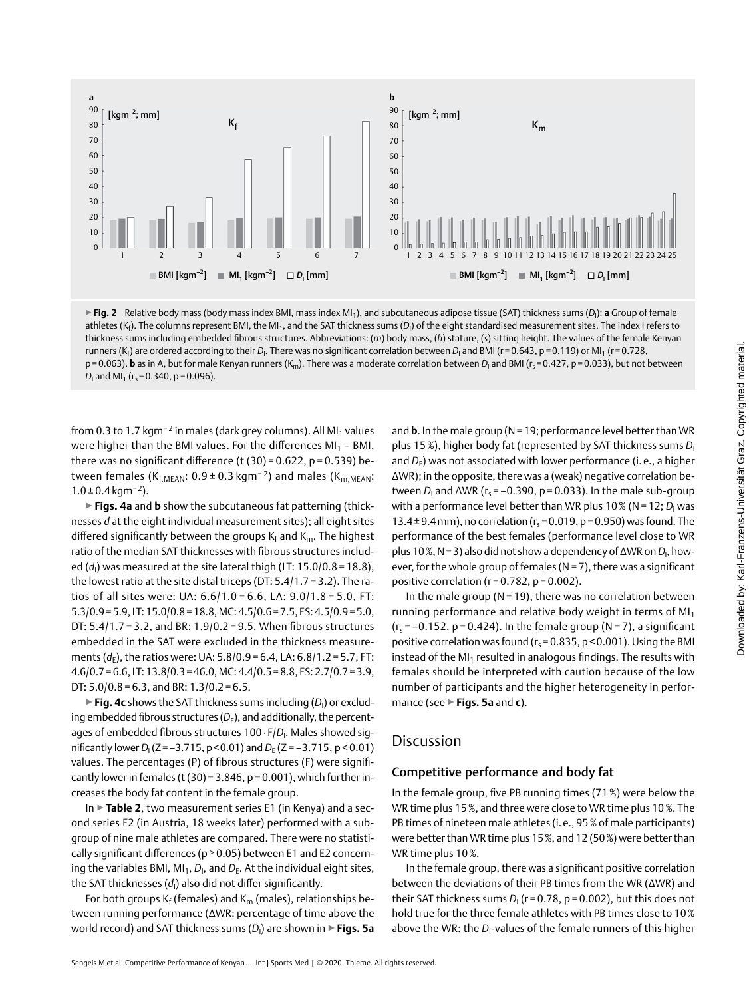

**▶ Fig. 2** Relative body mass (body mass index BMI, mass index MI<sub>1</sub>), and subcutaneous adipose tissue (SAT) thickness sums (D<sub>I</sub>): **a** Group of female athletes (K<sub>f</sub>). The columns represent BMI, the MI<sub>1</sub>, and the SAT thickness sums (D<sub>I</sub>) of the eight standardised measurement sites. The index I refers to thickness sums including embedded fibrous structures. Abbreviations: (*m*) body mass, (*h*) stature, (*s*) sitting height. The values of the female Kenyan runners (K<sub>f</sub>) are ordered according to their D<sub>I</sub>. There was no significant correlation between D<sub>I</sub> and BMI (r=0.643, p=0.119) or MI<sub>1</sub> (r=0.728, p=0.063). **b** as in A, but for male Kenyan runners (K<sub>m</sub>). There was a moderate correlation between *D*<sub>I</sub> and BMI (r<sub>s</sub>=0.427, p=0.033), but not between *D*<sub>I</sub> and MI<sub>1</sub> (r<sub>s</sub>=0.340, p=0.096).

from 0.3 to 1.7 kgm<sup>-2</sup> in males (dark grey columns). All MI<sub>1</sub> values were higher than the BMI values. For the differences  $MI_1 - BMI$ , there was no significant difference (t  $(30) = 0.622$ , p = 0.539) between females (K<sub>f,MFAN</sub>:  $0.9 \pm 0.3$  kgm<sup>-2</sup>) and males (K<sub>m,MFAN</sub>:  $1.0 \pm 0.4$  kgm<sup>-2</sup>).

▶**Figs. 4a** and **b** show the subcutaneous fat patterning (thicknesses *d* at the eight individual measurement sites); all eight sites differed significantly between the groups  $K_f$  and  $K_m$ . The highest ratio of the median SAT thicknesses with fibrous structures included (d<sub>I</sub>) was measured at the site lateral thigh (LT: 15.0/0.8 = 18.8), the lowest ratio at the site distal triceps (DT: 5.4/1.7 = 3.2). The ratios of all sites were: UA: 6.6/1.0 = 6.6, LA: 9.0/1.8 = 5.0, FT: 5.3/0.9=5.9, LT: 15.0/0.8=18.8, MC: 4.5/0.6=7.5, ES: 4.5/0.9=5.0, DT: 5.4/1.7 = 3.2, and BR: 1.9/0.2 = 9.5. When fibrous structures embedded in the SAT were excluded in the thickness measurements ( $d_F$ ), the ratios were: UA: 5.8/0.9 = 6.4, LA: 6.8/1.2 = 5.7, FT:  $4.6/0.7=6.6$ , LT:  $13.8/0.3=46.0$ , MC:  $4.4/0.5=8.8$ , ES:  $2.7/0.7=3.9$ , DT:  $5.0/0.8 = 6.3$ , and BR:  $1.3/0.2 = 6.5$ .

 $\blacktriangleright$  **Fig. 4c** shows the SAT thickness sums including (D<sub>I</sub>) or excluding embedded fibrous structures  $(D_F)$ , and additionally, the percentages of embedded fibrous structures 100· F/*D*<sup>I</sup> . Males showed significantly lower *D*<sub>I</sub> (Z = –3.715, p<0.01) and *D*<sub>E</sub> (Z = –3.715, p<0.01) values. The percentages (P) of fibrous structures (F) were significantly lower in females (t (30) = 3.846,  $p = 0.001$ ), which further increases the body fat content in the female group.

In ▶**Table 2**, two measurement series E1 (in Kenya) and a second series E2 (in Austria, 18 weeks later) performed with a subgroup of nine male athletes are compared. There were no statistically significant differences (p > 0.05) between E1 and E2 concerning the variables BMI, MI<sub>1</sub>, D<sub>I</sub>, and D<sub>E</sub>. At the individual eight sites, the SAT thicknesses (*d*<sub>I</sub>) also did not differ significantly.

For both groups  $K_f$  (females) and  $K_m$  (males), relationships between running performance (ΔWR: percentage of time above the world record) and SAT thickness sums (D<sub>I</sub>) are shown in **▶ Figs. 5a** 

and **b**. In the male group (N=19; performance level better than WR plus 15%), higher body fat (represented by SAT thickness sums  $D_1$ and  $D_F$ ) was not associated with lower performance (i.e., a higher ΔWR); in the opposite, there was a (weak) negative correlation between *D*<sub>I</sub> and ΔWR ( $r_s$  = -0.390, p = 0.033). In the male sub-group with a performance level better than WR plus 10 % (N = 12; *D*<sub>I</sub> was 13.4 ± 9.4 mm), no correlation ( $r_s$  = 0.019, p = 0.950) was found. The performance of the best females (performance level close to WR plus 10%, N=3) also did not show a dependency of ΔWR on *D*<sup>I</sup> , however, for the whole group of females ( $N= 7$ ), there was a significant positive correlation ( $r = 0.782$ ,  $p = 0.002$ ).

In the male group ( $N = 19$ ), there was no correlation between running performance and relative body weight in terms of  $M_{11}$  $(r<sub>s</sub>=-0.152, p=0.424)$ . In the female group (N = 7), a significant positive correlation was found ( $r_s$  = 0.835, p < 0.001). Using the BMI instead of the  $M<sub>1</sub>$  resulted in analogous findings. The results with females should be interpreted with caution because of the low number of participants and the higher heterogeneity in performance (see ▶**Figs. 5a** and **c**).

#### **Discussion**

#### Competitive performance and body fat

In the female group, five PB running times (71 %) were below the WR time plus 15%, and three were close to WR time plus 10%. The PB times of nineteen male athletes (i. e., 95% of male participants) were better than WR time plus 15%, and 12 (50%) were better than WR time plus 10%.

In the female group, there was a significant positive correlation between the deviations of their PB times from the WR (ΔWR) and their SAT thickness sums  $D_1$  (r = 0.78, p = 0.002), but this does not hold true for the three female athletes with PB times close to 10% above the WR: the *D*<sub>I</sub>-values of the female runners of this higher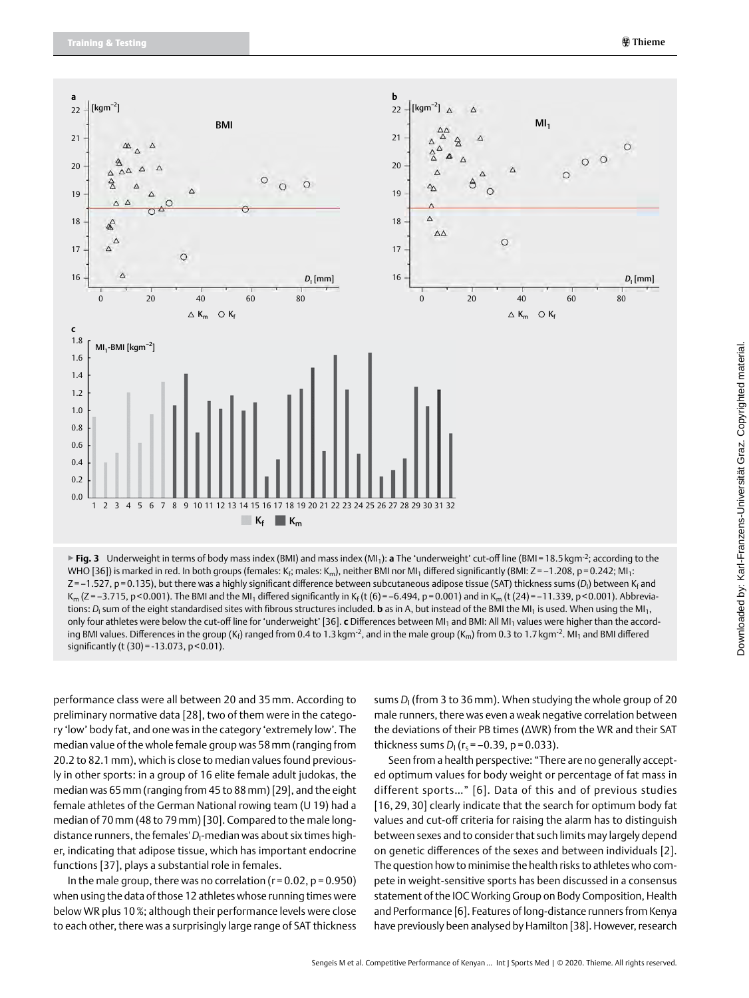

▶**Fig. 3** Underweight in terms of body mass index (BMI) and mass index (MI1): **a** The 'underweight' cut-off line (BMI=18.5kgm-2; according to the WHO [36]) is marked in red. In both groups (females: K<sub>fi</sub>, males: K<sub>m</sub>), neither BMI nor MI<sub>1</sub> differed significantly (BMI: Z=–1.208, p=0.242; MI<sub>1</sub>: Z=–1.527, p=0.135), but there was a highly significant difference between subcutaneous adipose tissue (SAT) thickness sums (D<sub>I</sub>) between K<sub>f</sub> and K<sub>m</sub> (Z = -3.715, p < 0.001). The BMI and the MI<sub>1</sub> differed significantly in K<sub>f</sub> (t (6) = -6.494, p = 0.001) and in K<sub>m</sub> (t (24) = -11.339, p < 0.001). Abbreviations: *D*<sub>I</sub> sum of the eight standardised sites with fibrous structures included. **b** as in A, but instead of the BMI the MI<sub>1</sub> is used. When using the MI<sub>1</sub>, only four athletes were below the cut-off line for 'underweight' [36]. **c** Differences between MI<sub>1</sub> and BMI: All MI<sub>1</sub> values were higher than the according BMI values. Differences in the group (K<sub>f</sub>) ranged from 0.4 to 1.3 kgm<sup>-2</sup>, and in the male group (K<sub>m</sub>) from 0.3 to 1.7 kgm<sup>-2</sup>. MI<sub>1</sub> and BMI differed significantly (t (30) = -13.073, p < 0.01).

performance class were all between 20 and 35 mm. According to preliminary normative data [28], two of them were in the category 'low' body fat, and one was in the category 'extremely low'. The median value of the whole female group was 58mm (ranging from 20.2 to 82.1mm), which is close to median values found previously in other sports: in a group of 16 elite female adult judokas, the median was 65mm (ranging from 45 to 88mm) [29], and the eight female athletes of the German National rowing team (U 19) had a median of 70mm (48 to 79mm) [30]. Compared to the male longdistance runners, the females' *D*<sup>I</sup> -median was about six times higher, indicating that adipose tissue, which has important endocrine functions [37], plays a substantial role in females.

In the male group, there was no correlation ( $r = 0.02$ ,  $p = 0.950$ ) when using the data of those 12 athletes whose running times were below WR plus 10%; although their performance levels were close to each other, there was a surprisingly large range of SAT thickness sums *D*<sup>I</sup> (from 3 to 36mm). When studying the whole group of 20 male runners, there was even a weak negative correlation between the deviations of their PB times (ΔWR) from the WR and their SAT thickness sums *D*<sub>I</sub> (r<sub>s</sub> = -0.39, p = 0.033).

Seen from a health perspective: "There are no generally accepted optimum values for body weight or percentage of fat mass in different sports…" [6]. Data of this and of previous studies [16, 29, 30] clearly indicate that the search for optimum body fat values and cut-off criteria for raising the alarm has to distinguish between sexes and to consider that such limits may largely depend on genetic differences of the sexes and between individuals [2]. The question how to minimise the health risks to athletes who compete in weight-sensitive sports has been discussed in a consensus statement of the IOC Working Group on Body Composition, Health and Performance [6]. Features of long-distance runners from Kenya have previously been analysed by Hamilton [38]. However, research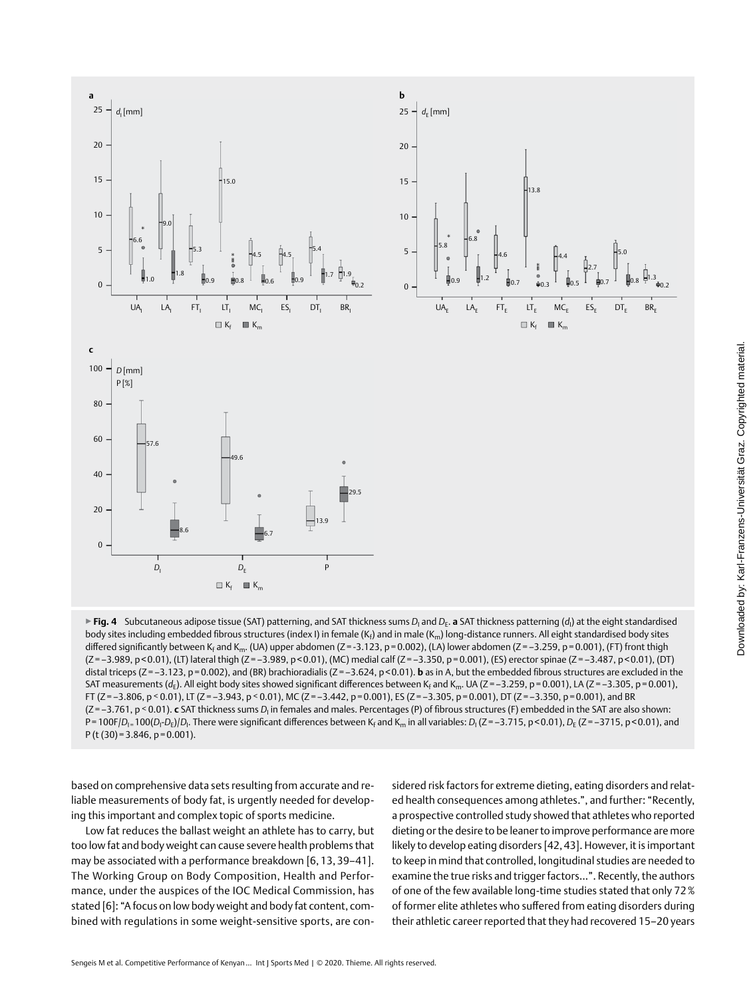

 $\blacktriangleright$  **Fig. 4** Subcutaneous adipose tissue (SAT) patterning, and SAT thickness sums  $D_i$  and  $D_E$ . **a** SAT thickness patterning ( $d_i$ ) at the eight standardised body sites including embedded fibrous structures (index I) in female (K<sub>f</sub>) and in male (K<sub>m</sub>) long-distance runners. All eight standardised body sites differed significantly between K<sub>f</sub> and K<sub>m</sub>. (UA) upper abdomen (Z=-3.123, p=0.002), (LA) lower abdomen (Z=-3.259, p=0.001), (FT) front thigh (Z=–3.989, p<0.01), (LT) lateral thigh (Z=–3.989, p<0.01), (MC) medial calf (Z=–3.350, p=0.001), (ES) erector spinae (Z=–3.487, p<0.01), (DT) distal triceps (Z=-3.123, p=0.002), and (BR) brachioradialis (Z=-3.624, p<0.01). **b** as in A, but the embedded fibrous structures are excluded in the SAT measurements ( $d_E$ ). All eight body sites showed significant differences between K<sub>f</sub> and K<sub>m</sub>. UA (Z=–3.259, p=0.001), LA (Z=–3.305, p=0.001), FT ( $Z = -3.806$ ,  $p \le 0.01$ ), LT ( $Z = -3.943$ ,  $p \le 0.01$ ), MC ( $Z = -3.442$ ,  $p = 0.001$ ), ES ( $Z = -3.305$ ,  $p = 0.001$ ), DT ( $Z = -3.350$ ,  $p = 0.001$ ), and BR (Z=-3.761, p < 0.01). **c** SAT thickness sums *D*<sub>I</sub> in females and males. Percentages (P) of fibrous structures (F) embedded in the SAT are also shown: P=100F/*D<sub>I=</sub>*100(*D<sub>I</sub>-D<sub>E</sub>)/D<sub>I</sub>. There were significant differences between K<sub>f</sub> and K<sub>m</sub> in all variables: <i>D<sub>I</sub>* (Z=–3.715, p<0.01), *D<sub>E</sub>* (Z=–3715, p<0.01), and  $P(t (30)=3.846, p=0.001).$ 

based on comprehensive data sets resulting from accurate and reliable measurements of body fat, is urgently needed for developing this important and complex topic of sports medicine.

Low fat reduces the ballast weight an athlete has to carry, but too low fat and body weight can cause severe health problems that may be associated with a performance breakdown [6, 13, 39–41]. The Working Group on Body Composition, Health and Performance, under the auspices of the IOC Medical Commission, has stated [6]: "A focus on low body weight and body fat content, combined with regulations in some weight-sensitive sports, are considered risk factors for extreme dieting, eating disorders and related health consequences among athletes.", and further: "Recently, a prospective controlled study showed that athletes who reported dieting or the desire to be leaner to improve performance are more likely to develop eating disorders [42, 43]. However, it is important to keep in mind that controlled, longitudinal studies are needed to examine the true risks and trigger factors…". Recently, the authors of one of the few available long-time studies stated that only 72% of former elite athletes who suffered from eating disorders during their athletic career reported that they had recovered 15–20 years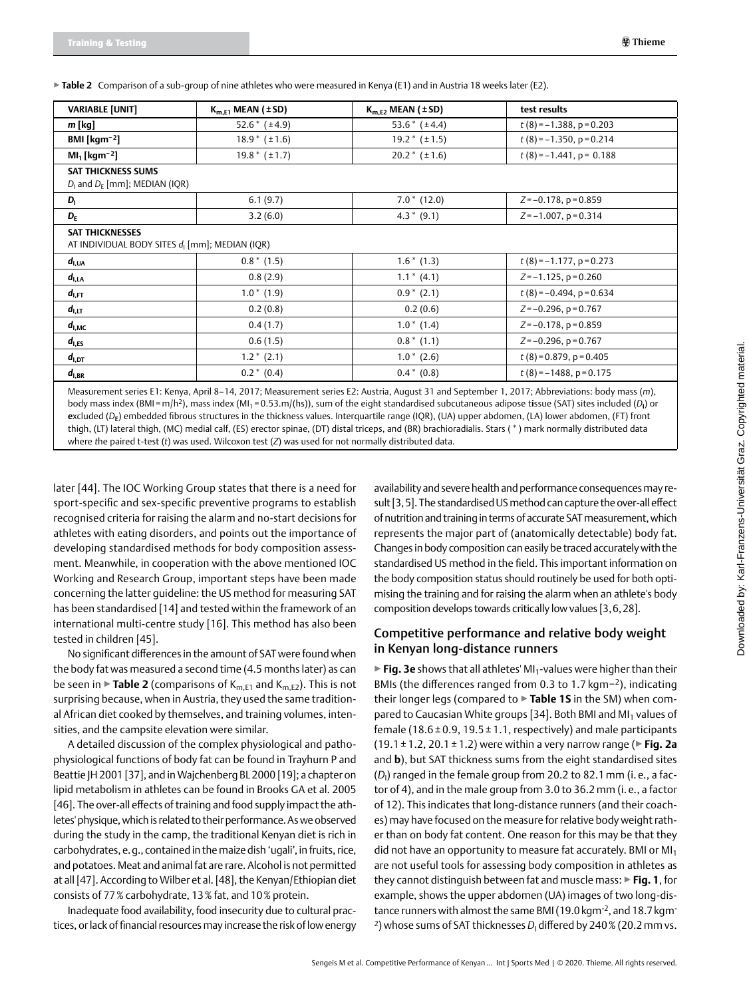▶**Table 2** Comparison of a sub-group of nine athletes who were measured in Kenya (E1) and in Austria 18 weeks later (E2).

| <b>VARIABLE [UNIT]</b>                                                               | $K_{m.E1}$ MEAN ( $\pm$ SD) | $K_{m.E2}$ MEAN ( $\pm$ SD) | test results                  |
|--------------------------------------------------------------------------------------|-----------------------------|-----------------------------|-------------------------------|
| $m$ [kq]                                                                             | 52.6 $*(\pm 4.9)$           | 53.6 $*(\pm 4.4)$           | $t(8) = -1.388$ , $p = 0.203$ |
| BMI [ $\text{kgm}^{-2}$ ]                                                            | $18.9 * (+1.6)$             | $19.2 * (+1.5)$             | $t(8) = -1.350$ , p = 0.214   |
| $MI_1$ [kgm <sup>-2</sup> ]                                                          | $19.8 * (+1.7)$             | $20.2 * (+1.6)$             | $t(8) = -1.441$ , p = 0.188   |
| <b>SAT THICKNESS SUMS</b><br>$D_1$ and $D_E$ [mm]; MEDIAN (IQR)                      |                             |                             |                               |
| $D_1$                                                                                | 6.1(9.7)                    | $7.0*$ (12.0)               | $Z = -0.178$ , $p = 0.859$    |
| $D_{\rm F}$                                                                          | 3.2(6.0)                    | $4.3 * (9.1)$               | $Z = -1.007$ , $p = 0.314$    |
| <b>SAT THICKNESSES</b><br>AT INDIVIDUAL BODY SITES d <sub>i</sub> [mm]; MEDIAN (IQR) |                             |                             |                               |
| $d_{I,UA}$                                                                           | $0.8 * (1.5)$               | $1.6*$ (1.3)                | $t(8) = -1.177$ , $p = 0.273$ |
| $d_{\rm I, LA}$                                                                      | 0.8(2.9)                    | $1.1 * (4.1)$               | $Z=-1.125$ , $p=0.260$        |
| $d_{\rm l,FT}$                                                                       | $1.0*(1.9)$                 | $0.9 * (2.1)$               | $t(8) = -0.494$ , p = 0.634   |
| $d_{1,\text{LT}}$                                                                    | 0.2(0.8)                    | 0.2(0.6)                    | $Z = -0.296$ , $p = 0.767$    |
| $d_{I,MC}$                                                                           | 0.4(1.7)                    | $1.0*(1.4)$                 | $Z = -0.178$ , $p = 0.859$    |
| $d_{\rm l,ES}$                                                                       | 0.6(1.5)                    | $0.8*$ (1.1)                | $Z = -0.296$ , $p = 0.767$    |
|                                                                                      | $1.2 * (2.1)$               | $1.0*(2.6)$                 | $t(8) = 0.879$ , p = 0.405    |
| $d_{\rm I,DT}$                                                                       |                             |                             |                               |

body mass index (BMI =m/h2), mass index (MI1 = 0.53.m/(hs)), sum of the eight standardised subcutaneous adipose t**i**ssue (SAT) sites included (*D***I**) or **e**xcluded (*D***E**) embedded fibrous structures in the thickness values. Interquartile range (IQR), (UA) upper abdomen, (LA) lower abdomen, (FT) front thigh, (LT) lateral thigh, (MC) medial calf, (ES) erector spinae, (DT) distal triceps, and (BR) brachioradialis. Stars ( \* ) mark normally distributed data where *t*he paired t-test (*t*) was used. Wilcoxon test (*Z*) was used for not normally distributed data.

later [44]. The IOC Working Group states that there is a need for sport-specific and sex-specific preventive programs to establish recognised criteria for raising the alarm and no-start decisions for athletes with eating disorders, and points out the importance of developing standardised methods for body composition assessment. Meanwhile, in cooperation with the above mentioned IOC Working and Research Group, important steps have been made concerning the latter guideline: the US method for measuring SAT has been standardised [14] and tested within the framework of an international multi-centre study [16]. This method has also been tested in children [45].

No significant differences in the amount of SAT were found when the body fat was measured a second time (4.5 months later) as can be seen in  $\triangleright$  **Table 2** (comparisons of  $K_{m,E1}$  and  $K_{m,E2}$ ). This is not surprising because, when in Austria, they used the same traditional African diet cooked by themselves, and training volumes, intensities, and the campsite elevation were similar.

A detailed discussion of the complex physiological and pathophysiological functions of body fat can be found in Trayhurn P and Beattie JH 2001 [37], and in Wajchenberg BL 2000 [19]; a chapter on lipid metabolism in athletes can be found in Brooks GA et al. 2005 [46]. The over-all effects of training and food supply impact the athletes' physique, which is related to their performance. As we observed during the study in the camp, the traditional Kenyan diet is rich in carbohydrates, e.g., contained in the maize dish 'ugali', in fruits, rice, and potatoes. Meat and animal fat are rare. Alcohol is not permitted at all [47]. According to Wilber et al. [48], the Kenyan/Ethiopian diet consists of 77% carbohydrate, 13% fat, and 10% protein.

Inadequate food availability, food insecurity due to cultural practices, or lack of financial resources may increase the risk of low energy

availability and severe health and performance consequences may result [3,5]. The standardised US method can capture the over-all effect of nutrition and training in terms of accurate SAT measurement, which represents the major part of (anatomically detectable) body fat. Changes in body composition can easily be traced accurately with the standardised US method in the field. This important information on the body composition status should routinely be used for both optimising the training and for raising the alarm when an athlete's body composition develops towards critically low values [3,6,28].

#### Competitive performance and relative body weight in Kenyan long-distance runners

▶ **Fig. 3e** shows that all athletes' MI<sub>1</sub>-values were higher than their BMIs (the differences ranged from 0.3 to 1.7 kgm−2), indicating their longer legs (compared to ▶**Table 1S** in the SM) when compared to Caucasian White groups [34]. Both BMI and MI<sub>1</sub> values of female (18.6  $\pm$  0.9, 19.5  $\pm$  1.1, respectively) and male participants (19.1 ± 1.2, 20.1 ± 1.2) were within a very narrow range (▶**Fig. 2a** and **b**), but SAT thickness sums from the eight standardised sites  $(D_{\mathsf{I}})$  ranged in the female group from 20.2 to 82.1 mm (i. e., a factor of 4), and in the male group from 3.0 to 36.2 mm (i. e., a factor of 12). This indicates that long-distance runners (and their coaches) may have focused on the measure for relative body weight rather than on body fat content. One reason for this may be that they did not have an opportunity to measure fat accurately. BMI or  $M<sub>1</sub>$ are not useful tools for assessing body composition in athletes as they cannot distinguish between fat and muscle mass: ▶**Fig. 1**, for example, shows the upper abdomen (UA) images of two long-distance runners with almost the same BMI (19.0 kgm<sup>-2</sup>, and 18.7 kgm<sup>-</sup> <sup>2</sup>) whose sums of SAT thicknesses D<sub>I</sub> differed by 240 % (20.2 mm vs.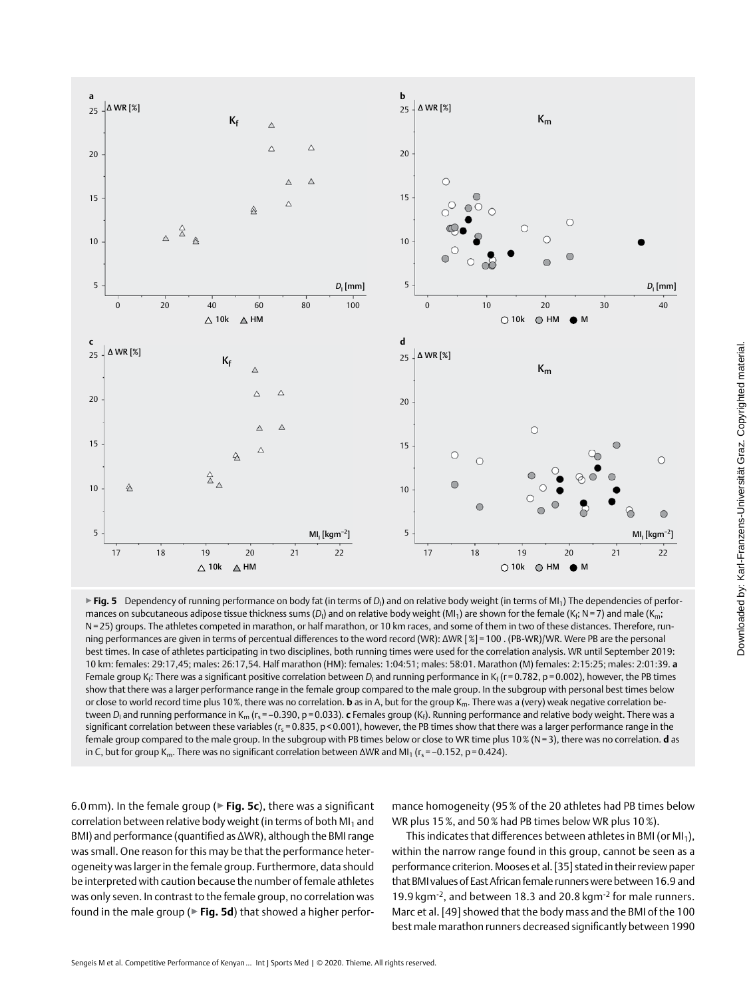

▶ **Fig. 5** Dependency of running performance on body fat (in terms of *D*<sub>I</sub>) and on relative body weight (in terms of MI<sub>1</sub>) The dependencies of performances on subcutaneous adipose tissue thickness sums (D<sub>I</sub>) and on relative body weight (MI<sub>1</sub>) are shown for the female (K<sub>f</sub>; N=7) and male (K<sub>m</sub>; N=25) groups. The athletes competed in marathon, or half marathon, or 10 km races, and some of them in two of these distances. Therefore, running performances are given in terms of percentual differences to the word record (WR): ΔWR [%]=100 . (PB-WR)/WR. Were PB are the personal best times. In case of athletes participating in two disciplines, both running times were used for the correlation analysis. WR until September 2019: 10 km: females: 29:17,45; males: 26:17,54. Half marathon (HM): females: 1:04:51; males: 58:01. Marathon (M) females: 2:15:25; males: 2:01:39. **a** Female group K<sub>f</sub>: There was a significant positive correlation between D<sub>I</sub> and running performance in K<sub>f</sub> (r=0.782, p=0.002), however, the PB times show that there was a larger performance range in the female group compared to the male group. In the subgroup with personal best times below or close to world record time plus 10%, there was no correlation. **b** as in A, but for the group K<sub>m</sub>. There was a (very) weak negative correlation between *D<sub>I</sub> and running performance in K<sub>m</sub> (r<sub>s</sub>=–0.390, p=0.033). c Females group (K<sub>f</sub>). Running performance and relative body weight. There was a* significant correlation between these variables (r<sub>s</sub>=0.835, p<0.001), however, the PB times show that there was a larger performance range in the female group compared to the male group. In the subgroup with PB times below or close to WR time plus 10% (N=3), there was no correlation. **d** as in C, but for group K<sub>m</sub>. There was no significant correlation between  $\Delta$ WR and MI<sub>1</sub> (r<sub>s</sub> = -0.152, p=0.424).

6.0 mm). In the female group (▶**Fig. 5c**), there was a significant correlation between relative body weight (in terms of both  $M<sub>1</sub>$  and BMI) and performance (quantified as ΔWR), although the BMI range was small. One reason for this may be that the performance heterogeneity was larger in the female group. Furthermore, data should be interpreted with caution because the number of female athletes was only seven. In contrast to the female group, no correlation was found in the male group (▶**Fig. 5d**) that showed a higher performance homogeneity (95% of the 20 athletes had PB times below WR plus 15%, and 50% had PB times below WR plus 10%).

This indicates that differences between athletes in BMI (or  $M_1$ ), within the narrow range found in this group, cannot be seen as a performance criterion. Mooses et al. [35] stated in their review paper that BMI values of East African female runners were between 16.9 and 19.9 kgm-2, and between 18.3 and 20.8 kgm-2 for male runners. Marc et al. [49] showed that the body mass and the BMI of the 100 best male marathon runners decreased significantly between 1990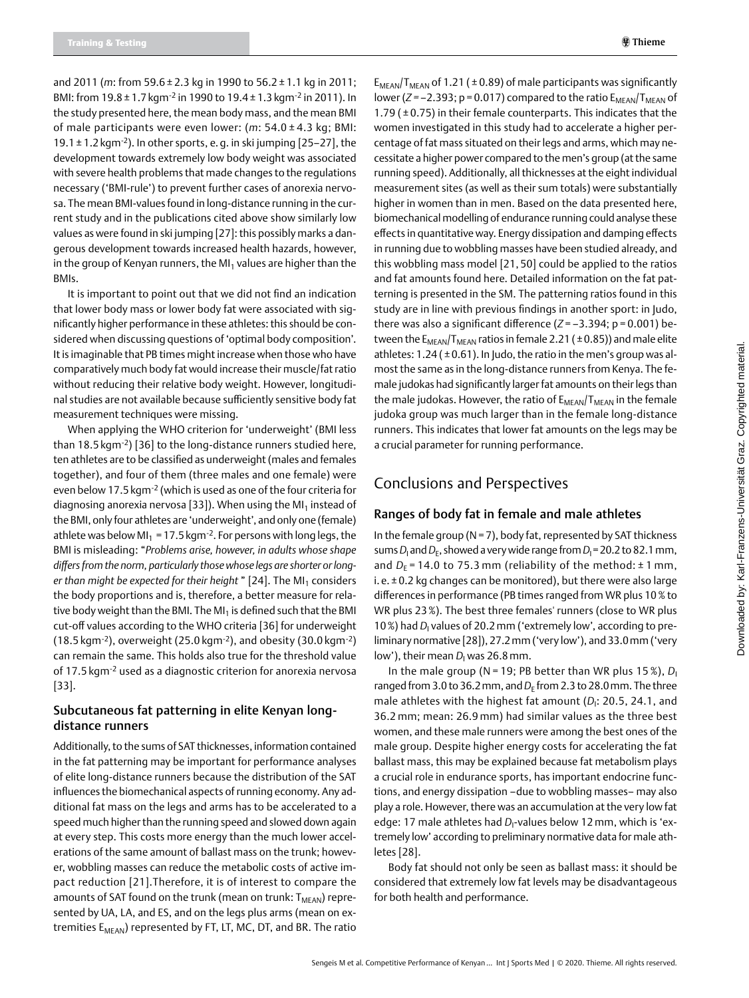and 2011 (*m*: from 59.6 ± 2.3 kg in 1990 to 56.2 ± 1.1 kg in 2011; BMI: from 19.8 ± 1.7 kgm-2 in 1990 to 19.4 ± 1.3 kgm-2 in 2011). In the study presented here, the mean body mass, and the mean BMI of male participants were even lower: (*m*: 54.0 ± 4.3 kg; BMI: 19.1  $\pm$  1.2 kgm<sup>-2</sup>). In other sports, e.g. in ski jumping [25–27], the development towards extremely low body weight was associated with severe health problems that made changes to the regulations necessary ('BMI-rule') to prevent further cases of anorexia nervosa. The mean BMI-values found in long-distance running in the current study and in the publications cited above show similarly low values as were found in ski jumping [27]: this possibly marks a dangerous development towards increased health hazards, however, in the group of Kenyan runners, the MI<sub>1</sub> values are higher than the BMIs.

It is important to point out that we did not find an indication that lower body mass or lower body fat were associated with significantly higher performance in these athletes: this should be considered when discussing questions of 'optimal body composition'. It is imaginable that PB times might increase when those who have comparatively much body fat would increase their muscle/fat ratio without reducing their relative body weight. However, longitudinal studies are not available because sufficiently sensitive body fat measurement techniques were missing.

When applying the WHO criterion for 'underweight' (BMI less than 18.5 kgm-2) [36] to the long-distance runners studied here, ten athletes are to be classified as underweight (males and females together), and four of them (three males and one female) were even below 17.5 kgm-2 (which is used as one of the four criteria for diagnosing anorexia nervosa [33]). When using the MI<sub>1</sub> instead of the BMI, only four athletes are 'underweight', and only one (female) athlete was below MI<sub>1</sub> = 17.5 kgm<sup>-2</sup>. For persons with long legs, the BMI is misleading: "*Problems arise, however, in adults whose shape differs from the norm, particularly those whose legs are shorter or longer than might be expected for their height* " [24]. The MI<sub>1</sub> considers the body proportions and is, therefore, a better measure for relative body weight than the BMI. The MI<sub>1</sub> is defined such that the BMI cut-off values according to the WHO criteria [36] for underweight (18.5 kgm-2), overweight (25.0 kgm-2), and obesity (30.0 kgm-2) can remain the same. This holds also true for the threshold value of 17.5 kgm-2 used as a diagnostic criterion for anorexia nervosa [33].

#### Subcutaneous fat patterning in elite Kenyan longdistance runners

Additionally, to the sums of SAT thicknesses, information contained in the fat patterning may be important for performance analyses of elite long-distance runners because the distribution of the SAT influences the biomechanical aspects of running economy. Any additional fat mass on the legs and arms has to be accelerated to a speed much higher than the running speed and slowed down again at every step. This costs more energy than the much lower accelerations of the same amount of ballast mass on the trunk; however, wobbling masses can reduce the metabolic costs of active impact reduction [21].Therefore, it is of interest to compare the amounts of SAT found on the trunk (mean on trunk:  $T_{MFAN}$ ) represented by UA, LA, and ES, and on the legs plus arms (mean on extremities E<sub>MEAN</sub>) represented by FT, LT, MC, DT, and BR. The ratio  $E<sub>MFAN</sub>/T<sub>MFAN</sub>$  of 1.21 ( $\pm$  0.89) of male participants was significantly lower ( $Z = -2.393$ ;  $p = 0.017$ ) compared to the ratio  $E_{MFAN}/T_{MFAN}$  of 1.79 ( $\pm$  0.75) in their female counterparts. This indicates that the women investigated in this study had to accelerate a higher percentage of fat mass situated on their legs and arms, which may necessitate a higher power compared to the men's group (at the same running speed). Additionally, all thicknesses at the eight individual measurement sites (as well as their sum totals) were substantially higher in women than in men. Based on the data presented here, biomechanical modelling of endurance running could analyse these effects in quantitative way. Energy dissipation and damping effects in running due to wobbling masses have been studied already, and this wobbling mass model [21, 50] could be applied to the ratios and fat amounts found here. Detailed information on the fat patterning is presented in the SM. The patterning ratios found in this study are in line with previous findings in another sport: in Judo, there was also a significant difference (*Z* = –3.394; p = 0.001) between the  $E_{MEAN}/T_{MEAN}$  ratios in female 2.21 ( $\pm$ 0.85)) and male elite athletes:  $1.24$  ( $\pm$  0.61). In Judo, the ratio in the men's group was almost the same as in the long-distance runners from Kenya. The female judokas had significantly larger fat amounts on their legs than the male judokas. However, the ratio of  $E_{MEAN}/T_{MEAN}$  in the female judoka group was much larger than in the female long-distance runners. This indicates that lower fat amounts on the legs may be a crucial parameter for running performance.

## Conclusions and Perspectives

#### Ranges of body fat in female and male athletes

In the female group ( $N = 7$ ), body fat, represented by SAT thickness sums *D*<sub>I</sub> and *D*<sub>E</sub>, showed a very wide range from *D*<sub>I</sub> = 20.2 to 82.1 mm, and  $D_F$  = 14.0 to 75.3 mm (reliability of the method:  $\pm$  1 mm, i. e.  $\pm$  0.2 kg changes can be monitored), but there were also large differences in performance (PB times ranged from WR plus 10% to WR plus 23%). The best three females' runners (close to WR plus 10%) had *D*<sub>I</sub> values of 20.2 mm ('extremely low', according to preliminary normative [28]), 27.2mm ('very low'), and 33.0mm ('very low'), their mean *D*<sub>I</sub> was 26.8 mm.

In the male group ( $N = 19$ ; PB better than WR plus 15%),  $D<sub>1</sub>$ ranged from 3.0 to 36.2 mm, and  $D_F$  from 2.3 to 28.0 mm. The three male athletes with the highest fat amount (D<sub>I</sub>: 20.5, 24.1, and 36.2 mm; mean: 26.9 mm) had similar values as the three best women, and these male runners were among the best ones of the male group. Despite higher energy costs for accelerating the fat ballast mass, this may be explained because fat metabolism plays a crucial role in endurance sports, has important endocrine functions, and energy dissipation –due to wobbling masses– may also play a role. However, there was an accumulation at the very low fat edge: 17 male athletes had D<sub>I</sub>-values below 12 mm, which is 'extremely low' according to preliminary normative data for male athletes [28].

Body fat should not only be seen as ballast mass: it should be considered that extremely low fat levels may be disadvantageous for both health and performance.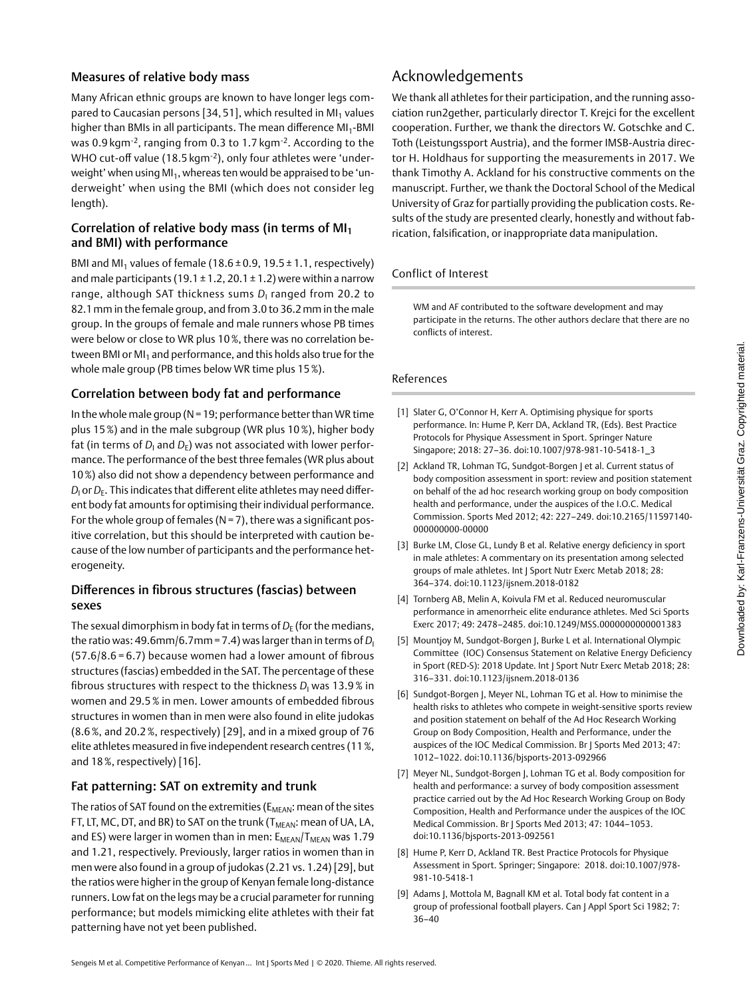### Measures of relative body mass

Many African ethnic groups are known to have longer legs compared to Caucasian persons [34, 51], which resulted in MI<sub>1</sub> values higher than BMIs in all participants. The mean difference MI<sub>1</sub>-BMI was 0.9 kgm-2, ranging from 0.3 to 1.7 kgm-2. According to the WHO cut-off value (18.5 kgm-<sup>2</sup>), only four athletes were 'underweight' when using  $M_1$ , whereas ten would be appraised to be 'underweight' when using the BMI (which does not consider leg length).

### Correlation of relative body mass (in terms of MI<sup>1</sup> and BMI) with performance

BMI and MI<sub>1</sub> values of female (18.6  $\pm$  0.9, 19.5  $\pm$  1.1, respectively) and male participants (19.1  $\pm$  1.2, 20.1  $\pm$  1.2) were within a narrow range, although SAT thickness sums *D*<sub>1</sub> ranged from 20.2 to 82.1mm in the female group, and from 3.0 to 36.2mm in the male group. In the groups of female and male runners whose PB times were below or close to WR plus 10%, there was no correlation between BMI or  $M<sub>1</sub>$  and performance, and this holds also true for the whole male group (PB times below WR time plus 15%).

#### Correlation between body fat and performance

In the whole male group ( $N=19$ ; performance better than WR time plus 15%) and in the male subgroup (WR plus 10%), higher body fat (in terms of *D*<sub>I</sub> and *D<sub>E</sub>*) was not associated with lower performance. The performance of the best three females (WR plus about 10%) also did not show a dependency between performance and  $D_{\mathsf{I}}$  or  $D_{\mathsf{E}}.$  This indicates that different elite athletes may need different body fat amounts for optimising their individual performance. For the whole group of females ( $N = 7$ ), there was a significant positive correlation, but this should be interpreted with caution because of the low number of participants and the performance heterogeneity.

#### Differences in fibrous structures (fascias) between sexes

The sexual dimorphism in body fat in terms of  $D_F$  (for the medians, the ratio was: 49.6mm/6.7mm = 7.4) was larger than in terms of  $D<sub>1</sub>$ (57.6/8.6 = 6.7) because women had a lower amount of fibrous structures (fascias) embedded in the SAT. The percentage of these fibrous structures with respect to the thickness *D*<sub>I</sub> was 13.9 % in women and 29.5% in men. Lower amounts of embedded fibrous structures in women than in men were also found in elite judokas (8.6%, and 20.2%, respectively) [29], and in a mixed group of 76 elite athletes measured in five independent research centres (11%, and 18%, respectively) [16].

#### Fat patterning: SAT on extremity and trunk

The ratios of SAT found on the extremities ( $E_{MEAN}$ : mean of the sites FT, LT, MC, DT, and BR) to SAT on the trunk ( $T_{MEAN}$ : mean of UA, LA, and ES) were larger in women than in men:  $E_{MFAN}/T_{MFAN}$  was 1.79 and 1.21, respectively. Previously, larger ratios in women than in men were also found in a group of judokas (2.21 vs. 1.24) [29], but the ratios were higher in the group of Kenyan female long-distance runners. Low fat on the legs may be a crucial parameter for running performance; but models mimicking elite athletes with their fat patterning have not yet been published.

## Acknowledgements

We thank all athletes for their participation, and the running association run2gether, particularly director T. Krejci for the excellent cooperation. Further, we thank the directors W. Gotschke and C. Toth (Leistungssport Austria), and the former IMSB-Austria director H. Holdhaus for supporting the measurements in 2017. We thank Timothy A. Ackland for his constructive comments on the manuscript. Further, we thank the Doctoral School of the Medical University of Graz for partially providing the publication costs. Results of the study are presented clearly, honestly and without fabrication, falsification, or inappropriate data manipulation.

#### Conflict of Interest

WM and AF contributed to the software development and may participate in the returns. The other authors declare that there are no conflicts of interest.

#### References

- [1] Slater G, O'Connor H, Kerr A. Optimising physique for sports performance. In: Hume P, Kerr DA, Ackland TR, (Eds). Best Practice Protocols for Physique Assessment in Sport. Springer Nature Singapore; 2018: 27–36. doi:10.1007/978-981-10-5418-1\_3
- [2] Ackland TR, Lohman TG, Sundgot-Borgen J et al. Current status of body composition assessment in sport: review and position statement on behalf of the ad hoc research working group on body composition health and performance, under the auspices of the I.O.C. Medical Commission. Sports Med 2012; 42: 227–249. doi:10.2165/11597140- 000000000-00000
- [3] Burke LM, Close GL, Lundy B et al. Relative energy deficiency in sport in male athletes: A commentary on its presentation among selected groups of male athletes. Int J Sport Nutr Exerc Metab 2018; 28: 364–374. doi:10.1123/ijsnem.2018-0182
- [4] Tornberg AB, Melin A, Koivula FM et al. Reduced neuromuscular performance in amenorrheic elite endurance athletes. Med Sci Sports Exerc 2017; 49: 2478–2485. doi:10.1249/MSS.0000000000001383
- [5] Mountjoy M, Sundgot-Borgen J, Burke L et al. International Olympic Committee (IOC) Consensus Statement on Relative Energy Deficiency in Sport (RED-S): 2018 Update. Int | Sport Nutr Exerc Metab 2018; 28: 316–331. doi:10.1123/ijsnem.2018-0136
- [6] Sundgot-Borgen J, Meyer NL, Lohman TG et al. How to minimise the health risks to athletes who compete in weight-sensitive sports review and position statement on behalf of the Ad Hoc Research Working Group on Body Composition, Health and Performance, under the auspices of the IOC Medical Commission. Br J Sports Med 2013; 47: 1012–1022. doi:10.1136/bjsports-2013-092966
- [7] Meyer NL, Sundgot-Borgen J, Lohman TG et al. Body composition for health and performance: a survey of body composition assessment practice carried out by the Ad Hoc Research Working Group on Body Composition, Health and Performance under the auspices of the IOC Medical Commission. Br J Sports Med 2013; 47: 1044–1053. doi:10.1136/bjsports-2013-092561
- [8] Hume P, Kerr D, Ackland TR, Best Practice Protocols for Physique Assessment in Sport. Springer; Singapore: 2018. doi:10.1007/978- 981-10-5418-1
- [9] Adams J, Mottola M, Bagnall KM et al. Total body fat content in a group of professional football players. Can J Appl Sport Sci 1982; 7: 36–40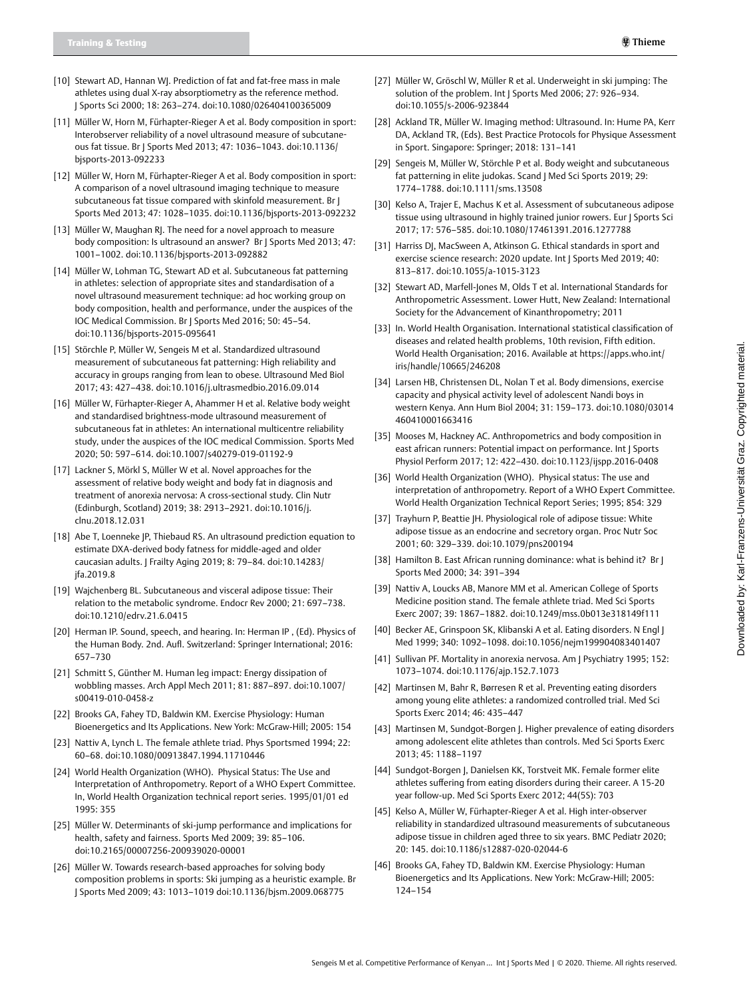- [10] Stewart AD, Hannan WJ. Prediction of fat and fat-free mass in male athletes using dual X-ray absorptiometry as the reference method. J Sports Sci 2000; 18: 263–274. doi:10.1080/026404100365009
- [11] Müller W, Horn M, Fürhapter-Rieger A et al. Body composition in sport: Interobserver reliability of a novel ultrasound measure of subcutaneous fat tissue. Br J Sports Med 2013; 47: 1036–1043. doi:10.1136/ bjsports-2013-092233
- [12] Müller W, Horn M, Fürhapter-Rieger A et al. Body composition in sport: A comparison of a novel ultrasound imaging technique to measure subcutaneous fat tissue compared with skinfold measurement. Br J Sports Med 2013; 47: 1028–1035. doi:10.1136/bjsports-2013-092232
- [13] Müller W, Maughan RJ. The need for a novel approach to measure body composition: Is ultrasound an answer? Br | Sports Med 2013; 47: 1001–1002. doi:10.1136/bjsports-2013-092882
- [14] Müller W, Lohman TG, Stewart AD et al. Subcutaneous fat patterning in athletes: selection of appropriate sites and standardisation of a novel ultrasound measurement technique: ad hoc working group on body composition, health and performance, under the auspices of the IOC Medical Commission. Br J Sports Med 2016; 50: 45–54. doi:10.1136/bjsports-2015-095641
- [15] Störchle P, Müller W, Sengeis M et al. Standardized ultrasound measurement of subcutaneous fat patterning: High reliability and accuracy in groups ranging from lean to obese. Ultrasound Med Biol 2017; 43: 427–438. doi:10.1016/j.ultrasmedbio.2016.09.014
- [16] Müller W, Fürhapter-Rieger A, Ahammer H et al. Relative body weight and standardised brightness-mode ultrasound measurement of subcutaneous fat in athletes: An international multicentre reliability study, under the auspices of the IOC medical Commission. Sports Med 2020; 50: 597–614. doi:10.1007/s40279-019-01192-9
- [17] Lackner S, Mörkl S, Müller W et al. Novel approaches for the assessment of relative body weight and body fat in diagnosis and treatment of anorexia nervosa: A cross-sectional study. Clin Nutr (Edinburgh, Scotland) 2019; 38: 2913–2921. doi:10.1016/j. clnu.2018.12.031
- [18] Abe T, Loenneke JP, Thiebaud RS. An ultrasound prediction equation to estimate DXA-derived body fatness for middle-aged and older caucasian adults. J Frailty Aging 2019; 8: 79–84. doi:10.14283/ jfa.2019.8
- [19] Wajchenberg BL. Subcutaneous and visceral adipose tissue: Their relation to the metabolic syndrome. Endocr Rev 2000; 21: 697–738. doi:10.1210/edrv.21.6.0415
- [20] Herman IP. Sound, speech, and hearing. In: Herman IP, (Ed). Physics of the Human Body. 2nd. Aufl. Switzerland: Springer International; 2016: 657–730
- [21] Schmitt S, Günther M. Human leg impact: Energy dissipation of wobbling masses. Arch Appl Mech 2011; 81: 887–897. doi:10.1007/ s00419-010-0458-z
- [22] Brooks GA, Fahey TD, Baldwin KM. Exercise Physiology: Human Bioenergetics and Its Applications. New York: McGraw-Hill; 2005: 154
- [23] Nattiv A, Lynch L. The female athlete triad. Phys Sportsmed 1994; 22: 60–68. doi:10.1080/00913847.1994.11710446
- [24] World Health Organization (WHO). Physical Status: The Use and Interpretation of Anthropometry. Report of a WHO Expert Committee. In, World Health Organization technical report series. 1995/01/01 ed 1995: 355
- [25] Müller W. Determinants of ski-jump performance and implications for health, safety and fairness. Sports Med 2009; 39: 85–106. doi:10.2165/00007256-200939020-00001
- [26] Müller W. Towards research-based approaches for solving body composition problems in sports: Ski jumping as a heuristic example. Br J Sports Med 2009; 43: 1013–1019 doi:10.1136/bjsm.2009.068775
- [27] Müller W, Gröschl W, Müller R et al. Underweight in ski jumping: The solution of the problem. Int | Sports Med 2006; 27: 926-934. doi:10.1055/s-2006-923844
- [28] Ackland TR, Müller W. Imaging method: Ultrasound. In: Hume PA, Kerr DA, Ackland TR, (Eds). Best Practice Protocols for Physique Assessment in Sport. Singapore: Springer; 2018: 131–141
- [29] Sengeis M, Müller W, Störchle P et al. Body weight and subcutaneous fat patterning in elite judokas. Scand J Med Sci Sports 2019; 29: 1774–1788. doi:10.1111/sms.13508
- [30] Kelso A, Trajer E, Machus K et al. Assessment of subcutaneous adipose tissue using ultrasound in highly trained junior rowers. Eur J Sports Sci 2017; 17: 576–585. doi:10.1080/17461391.2016.1277788
- [31] Harriss DJ, MacSween A, Atkinson G. Ethical standards in sport and exercise science research: 2020 update. Int | Sports Med 2019; 40: 813–817. doi:10.1055/a-1015-3123
- [32] Stewart AD, Marfell-Jones M, Olds T et al. International Standards for Anthropometric Assessment. Lower Hutt, New Zealand: International Society for the Advancement of Kinanthropometry; 2011
- [33] In. World Health Organisation. International statistical classification of diseases and related health problems, 10th revision, Fifth edition. World Health Organisation; 2016. Available at [https://apps.who.int/](https://apps.who.int/iris/handle/10665/246208) [iris/handle/10665/246208](https://apps.who.int/iris/handle/10665/246208)
- [34] Larsen HB, Christensen DL, Nolan T et al. Body dimensions, exercise capacity and physical activity level of adolescent Nandi boys in western Kenya. Ann Hum Biol 2004; 31: 159–173. doi:10.1080/03014 460410001663416
- [35] Mooses M, Hackney AC. Anthropometrics and body composition in east african runners: Potential impact on performance. Int | Sports Physiol Perform 2017; 12: 422–430. doi:10.1123/ijspp.2016-0408
- [36] World Health Organization (WHO). Physical status: The use and interpretation of anthropometry. Report of a WHO Expert Committee. World Health Organization Technical Report Series; 1995; 854: 329
- [37] Trayhurn P, Beattie JH. Physiological role of adipose tissue: White adipose tissue as an endocrine and secretory organ. Proc Nutr Soc 2001; 60: 329–339. doi:10.1079/pns200194
- [38] Hamilton B. East African running dominance: what is behind it? Br J Sports Med 2000; 34: 391–394
- [39] Nattiv A, Loucks AB, Manore MM et al. American College of Sports Medicine position stand. The female athlete triad. Med Sci Sports Exerc 2007; 39: 1867–1882. doi:10.1249/mss.0b013e318149f111
- [40] Becker AE, Grinspoon SK, Klibanski A et al. Eating disorders. N Engl J Med 1999; 340: 1092–1098. doi:10.1056/nejm199904083401407
- [41] Sullivan PF. Mortality in anorexia nervosa. Am J Psychiatry 1995; 152: 1073–1074. doi:10.1176/ajp.152.7.1073
- [42] Martinsen M, Bahr R, Børresen R et al. Preventing eating disorders among young elite athletes: a randomized controlled trial. Med Sci Sports Exerc 2014; 46: 435–447
- [43] Martinsen M, Sundgot-Borgen J. Higher prevalence of eating disorders among adolescent elite athletes than controls. Med Sci Sports Exerc 2013; 45: 1188–1197
- [44] Sundgot-Borgen J, Danielsen KK, Torstveit MK. Female former elite athletes suffering from eating disorders during their career. A 15-20 year follow-up. Med Sci Sports Exerc 2012; 44(5S): 703
- [45] Kelso A, Müller W, Fürhapter-Rieger A et al. High inter-observer reliability in standardized ultrasound measurements of subcutaneous adipose tissue in children aged three to six years. BMC Pediatr 2020; 20: 145. doi:10.1186/s12887-020-02044-6
- [46] Brooks GA, Fahey TD, Baldwin KM. Exercise Physiology: Human Bioenergetics and Its Applications. New York: McGraw-Hill; 2005: 124–154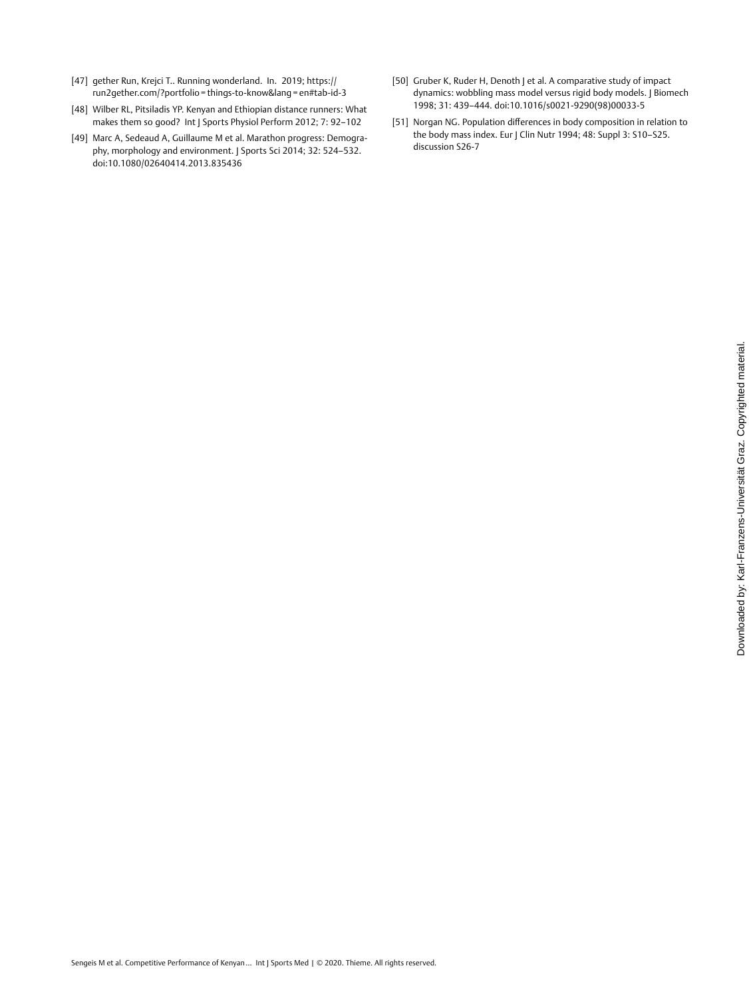- [47] gether Run, Krejci T.. Running wonderland. In. 2019; [https://](https://run2gether.com/%3Fportfolio%E2%80%89%3D%E2%80%89things-to-know%26lang%E2%80%89%3D%E2%80%89en%23tab-id-3) [run2gether.com/?portfolio](https://run2gether.com/%3Fportfolio%E2%80%89%3D%E2%80%89things-to-know%26lang%E2%80%89%3D%E2%80%89en%23tab-id-3) = things-to-know&lang = en#tab-id-3
- [48] Wilber RL, Pitsiladis YP. Kenyan and Ethiopian distance runners: What makes them so good? Int J Sports Physiol Perform 2012; 7: 92–102
- [49] Marc A, Sedeaud A, Guillaume M et al. Marathon progress: Demography, morphology and environment. J Sports Sci 2014; 32: 524–532. doi:10.1080/02640414.2013.835436
- [50] Gruber K, Ruder H, Denoth J et al. A comparative study of impact dynamics: wobbling mass model versus rigid body models. | Biomech 1998; 31: 439–444. doi:10.1016/s0021-9290(98)00033-5
- [51] Norgan NG. Population differences in body composition in relation to the body mass index. Eur J Clin Nutr 1994; 48: Suppl 3: S10–S25. discussion S26-7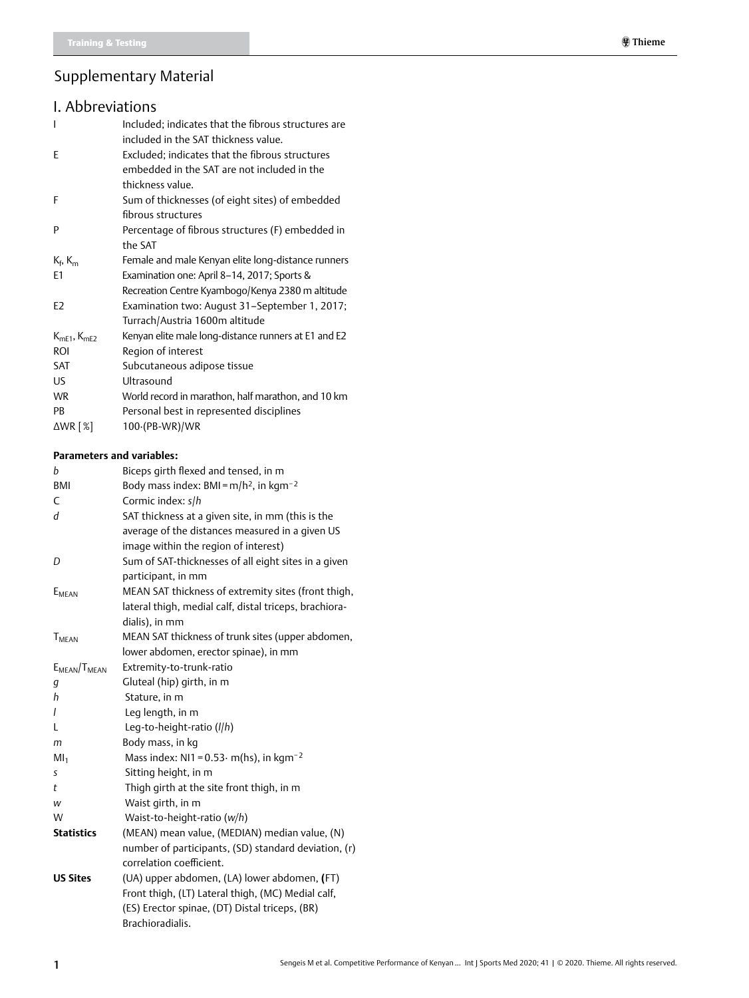# Supplementary Material

## I. Abbreviations

| Included; indicates that the fibrous structures are<br>included in the SAT thickness value.                        |
|--------------------------------------------------------------------------------------------------------------------|
| Excluded; indicates that the fibrous structures<br>embedded in the SAT are not included in the<br>thickness value. |
| Sum of thicknesses (of eight sites) of embedded<br>fibrous structures                                              |
| Percentage of fibrous structures (F) embedded in<br>the SAT                                                        |
| Female and male Kenyan elite long-distance runners                                                                 |
| Examination one: April 8–14, 2017; Sports &                                                                        |
| Recreation Centre Kyambogo/Kenya 2380 m altitude                                                                   |
| Examination two: August 31–September 1, 2017;<br>Turrach/Austria 1600m altitude                                    |
| Kenyan elite male long-distance runners at E1 and E2                                                               |
| Region of interest                                                                                                 |
| Subcutaneous adipose tissue                                                                                        |
| Ultrasound                                                                                                         |
| World record in marathon, half marathon, and 10 km                                                                 |
| Personal best in represented disciplines                                                                           |
| $100$ (PB-WR)/WR                                                                                                   |
|                                                                                                                    |

#### **Parameters and variables:**

| b                        | Biceps girth flexed and tensed, in m                       |
|--------------------------|------------------------------------------------------------|
| <b>BMI</b>               | Body mass index: BMI = $m/h^2$ , in kgm <sup>-2</sup>      |
| C                        | Cormic index: s/h                                          |
| d                        | SAT thickness at a given site, in mm (this is the          |
|                          | average of the distances measured in a given US            |
|                          | image within the region of interest)                       |
| D                        | Sum of SAT-thicknesses of all eight sites in a given       |
|                          | participant, in mm                                         |
| E <sub>MEAN</sub>        | MEAN SAT thickness of extremity sites (front thigh,        |
|                          | lateral thigh, medial calf, distal triceps, brachiora-     |
|                          | dialis), in mm                                             |
| <b>T</b> <sub>MEAN</sub> | MEAN SAT thickness of trunk sites (upper abdomen,          |
|                          | lower abdomen, erector spinae), in mm                      |
| $E_{MFAN}/T_{MFAN}$      | Extremity-to-trunk-ratio                                   |
| g                        | Gluteal (hip) girth, in m                                  |
| h                        | Stature, in m                                              |
| I                        | Leg length, in m                                           |
| L                        | Leg-to-height-ratio (I/h)                                  |
| m                        | Body mass, in kg                                           |
| Ml <sub>1</sub>          | Mass index: NI1 = $0.53 \cdot$ m(hs), in kgm <sup>-2</sup> |
| S                        | Sitting height, in m                                       |
| t                        | Thigh girth at the site front thigh, in m                  |
| W                        | Waist girth, in m                                          |
| W                        | Waist-to-height-ratio (w/h)                                |
| <b>Statistics</b>        | (MEAN) mean value, (MEDIAN) median value, (N)              |
|                          | number of participants, (SD) standard deviation, (r)       |
|                          | correlation coefficient.                                   |
| <b>US Sites</b>          | (UA) upper abdomen, (LA) lower abdomen, (FT)               |
|                          | Front thigh, (LT) Lateral thigh, (MC) Medial calf,         |
|                          | (ES) Erector spinae, (DT) Distal triceps, (BR)             |
|                          | Brachioradialis.                                           |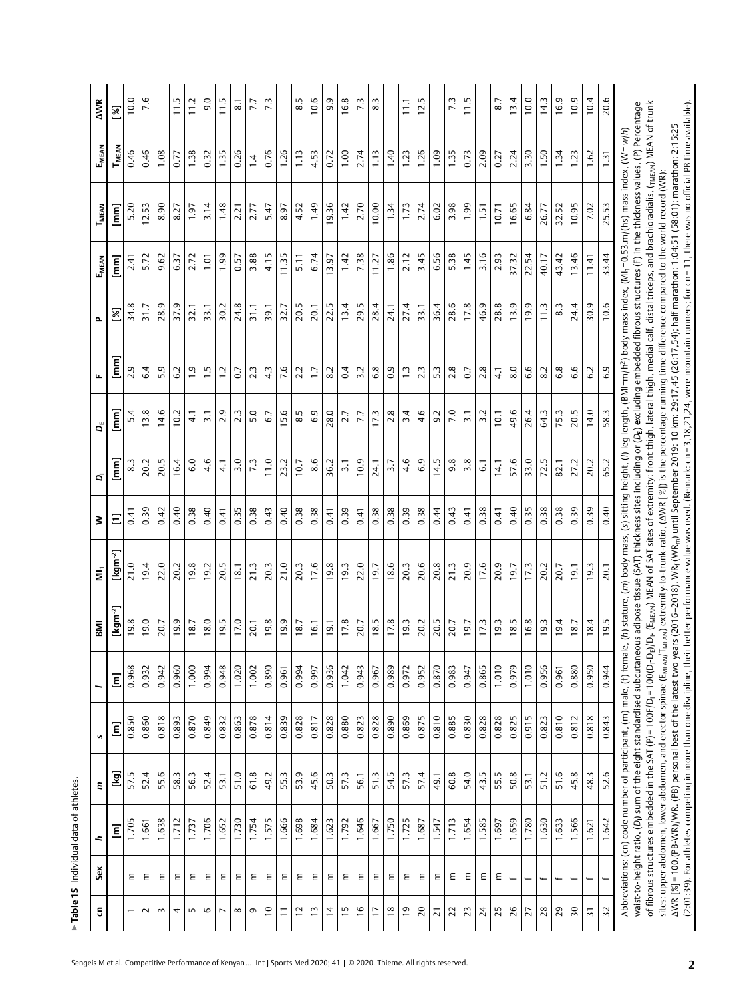| 5                       | Sex                      | ÷,    | ε    | n                                                                             |       | <b>IMB</b>                                                                                                                                                                                                                                                                                                                                                                                                                                   | έ                    | ⋧          | Ġ                                 | ď                | щ                                 | Δ.         | EMEAN            | T <sub>MEAN</sub>                                                                                                                      | EMEAN          | <b>AWR</b>       |
|-------------------------|--------------------------|-------|------|-------------------------------------------------------------------------------|-------|----------------------------------------------------------------------------------------------------------------------------------------------------------------------------------------------------------------------------------------------------------------------------------------------------------------------------------------------------------------------------------------------------------------------------------------------|----------------------|------------|-----------------------------------|------------------|-----------------------------------|------------|------------------|----------------------------------------------------------------------------------------------------------------------------------------|----------------|------------------|
|                         |                          | Ξ     | [kg] | Ξ                                                                             | Ξ     | $\lbrack \mathsf{kgm~^{2}}\rbrack$                                                                                                                                                                                                                                                                                                                                                                                                           | [kgm <sup>-2</sup> ] | Ξ          | $\begin{bmatrix} 1 \end{bmatrix}$ | $\bm{\Xi}$       | $\begin{bmatrix} 1 \end{bmatrix}$ | ৼ          | $\overline{E}$   | $\bar{\Xi}$                                                                                                                            | $T_{MEAN}$     | <u>s</u>         |
|                         | Ε                        | 1.705 | 57.5 | 0.850                                                                         | 0.968 | 19.8                                                                                                                                                                                                                                                                                                                                                                                                                                         | 21.0                 | $\ddot{q}$ | 3.3                               | 5.4              | 2.9                               | 34.8       | 2.41             | 5.20                                                                                                                                   | 0.46           | 10.0             |
| $\sim$                  | Ε                        | 1.661 | 52.4 | 0.860                                                                         | 0.932 | 19.0                                                                                                                                                                                                                                                                                                                                                                                                                                         | 19.4                 | 0.39       | 20.2                              | 13.8             | 6.4                               | 31.7       | 5.72             | 12.53                                                                                                                                  | 0.46           | 7.6              |
| 3                       | Ε                        | 1.638 | 55.6 | 0.818                                                                         | 0.942 | 20.7                                                                                                                                                                                                                                                                                                                                                                                                                                         | 22.0                 | 0.42       | 20.5                              | 14.6             | 5.9                               | 28.9       | 9.62             | 8.90                                                                                                                                   | 1.08           |                  |
| 4                       | Ε                        | 1.712 | 58.3 | 0.893                                                                         | 0.960 | 19.9                                                                                                                                                                                                                                                                                                                                                                                                                                         | 20.2                 | 0.40       | 16.4                              | 10.2             | 6.2                               | 37.9       | 6.37             | 8.27                                                                                                                                   | 0.77           | 11.5             |
| 5                       | Ε                        | 1.737 | 56.3 | 0.870                                                                         | 1.000 | 18.7                                                                                                                                                                                                                                                                                                                                                                                                                                         | 19.8                 | 0.38       | 6.0                               | $\frac{1}{4}$    | $\overline{1}$ .9                 | 32.1       | 2.72             | 1.97                                                                                                                                   | 1.38           | 11.2             |
| 6                       | Ε                        | 1.706 | 52.4 | 0.849                                                                         | 0.994 | 18.0                                                                                                                                                                                                                                                                                                                                                                                                                                         | 19.2                 | 0.40       | 4.6                               | $\overline{3.1}$ | $\frac{1}{1}$                     | 33.1       | 1.01             | 3.14                                                                                                                                   | 0.32           | 0.6              |
| $\overline{ }$          | Ε                        | 1.652 | 53.1 | 0.832                                                                         | 0.948 | 19.5                                                                                                                                                                                                                                                                                                                                                                                                                                         | 20.5                 | 0.41       | $\frac{1}{4}$                     | 2.9              | $\ddot{ }$ :1                     | 30.2       | 1.99             | 1.48                                                                                                                                   | 1.35           | 11.5             |
| $\infty$                | Ε                        | 1.730 | 51.0 | 0.863                                                                         | 1.020 | 17.0                                                                                                                                                                                                                                                                                                                                                                                                                                         | 18.1                 | 0.35       | 3.0                               | $2.\overline{3}$ | 0.7                               | 24.8       | 0.57             | 2.21                                                                                                                                   | 0.26           | $\overline{8.1}$ |
| G                       | Ε                        | 1.754 | 61.8 | 0.878                                                                         | 1.002 | 20.1                                                                                                                                                                                                                                                                                                                                                                                                                                         | 21.3                 | 0.38       | 7.3                               | 5.0              | 2.3                               | 31.1       | 3.88             | 2.77                                                                                                                                   | $\overline{4}$ | 7.7              |
| $\approx$               | Ε                        | 1.575 | 49.2 | 0.814                                                                         | 0.890 | 19.8                                                                                                                                                                                                                                                                                                                                                                                                                                         | 20.3                 | 0.43       | 11.0                              | 6.7              | $4\overline{3}$                   | 39.1       | 4.15             | 5.47                                                                                                                                   | 0.76           | 7.3              |
| Ξ                       | Ε                        | 1.666 | 55.3 | 0.839                                                                         | 0.961 | 19.9                                                                                                                                                                                                                                                                                                                                                                                                                                         | 21.0                 | 0.40       | 23.2                              | 15.6             | 7.6                               | 32.7       | 11.35            | 8.97                                                                                                                                   | 1.26           |                  |
| 12                      | Ε                        | 1.698 | 53.9 | 0.828                                                                         | 0.994 | 18.7                                                                                                                                                                                                                                                                                                                                                                                                                                         | 20.3                 | 0.38       | 10.7                              | 8.5              | 2.2                               | 20.5       | $\overline{5}$ . | 4.52                                                                                                                                   | $\frac{13}{2}$ | $8.\overline{5}$ |
| $\tilde{1}$             | Ε                        | 1.684 | 45.6 | 0.817                                                                         | 0.997 | 16.1                                                                                                                                                                                                                                                                                                                                                                                                                                         | 17.6                 | 0.38       | 8.6                               | 6.9              | $\ddot{ }$                        | 20.1       | 6.74             | 1.49                                                                                                                                   | 4.53           | 10.6             |
| $\ddot{a}$              | Ε                        | 1.623 | 50.3 | 0.828                                                                         | 0.936 | $\overline{9}$ .                                                                                                                                                                                                                                                                                                                                                                                                                             | 19.8                 | 0.41       | 36.2                              | 28.0             | $\overline{8.2}$                  | LU.<br>22. | 13.97            | 9.36                                                                                                                                   | 0.72           | o,<br>െ          |
| $\frac{15}{2}$          | Ε                        | 1.792 | 57.3 | 0.880                                                                         | 1.042 | 17.8                                                                                                                                                                                                                                                                                                                                                                                                                                         | 19.3                 | 0.39       | $\overline{3}$                    | 2.7              | 0.4                               | 13.4       | 1.42             | 1.42                                                                                                                                   | 00.1           | 16.8             |
| $\frac{6}{1}$           | Ε                        | 1.646 | 56.1 | 0.823                                                                         | 0.943 | 20.7                                                                                                                                                                                                                                                                                                                                                                                                                                         | 22.0                 | 0.41       | 10.9                              | 7.7              | 3.2                               | 29.5       | 7.38             | 2.70                                                                                                                                   | 2.74           | 73               |
| π                       | Ε                        | 1.667 | 51.3 | 0.828                                                                         | 0.967 | 18.5                                                                                                                                                                                                                                                                                                                                                                                                                                         | 19.7                 | 0.38       | 24.1                              | 17.3             | 6.8                               | 28.4       | 11.27            | 10.00                                                                                                                                  | 113            | $8.\overline{3}$ |
| $\frac{8}{2}$           | Ε                        | 1.750 | 54.5 | 0.890                                                                         | 0.989 | 17.8                                                                                                                                                                                                                                                                                                                                                                                                                                         | 18.6                 | 0.38       | 3.7                               | 2.8              | $\overline{0}$ .                  | 24.1       | 1.86             | 1.34                                                                                                                                   | 1.40           |                  |
| $\overline{e}$          | Ε                        | 1.725 | 57.3 | 0.869                                                                         | 0.972 | 19.3                                                                                                                                                                                                                                                                                                                                                                                                                                         | 20.3                 | 0.39       | 4.6                               | 3.4              | $\frac{1}{2}$                     | 27.4       | 2.12             | 1.73                                                                                                                                   | 1.23           | $\Xi$            |
| $\overline{20}$         | Ε                        | 1.687 | 57.4 | 0.875                                                                         | 0.952 | 20.2                                                                                                                                                                                                                                                                                                                                                                                                                                         | 20.6                 | 0.38       | 6.9                               | 4.6              | 2.3                               | 33.1       | 3.45             | 2.74                                                                                                                                   | 1.26           | 12.5             |
| 21                      | Ε                        | 1.547 | 49.1 | 0.810                                                                         | 0.870 | 20.5                                                                                                                                                                                                                                                                                                                                                                                                                                         | 20.8                 | 0.44       | 14.5                              | 9.2              | 5.3                               | 36.4       | 6.56             | 6.02                                                                                                                                   | <b>1.09</b>    |                  |
| 22                      | Ε                        | 1.713 | 60.8 | 0.885                                                                         | 0.983 | 20.7                                                                                                                                                                                                                                                                                                                                                                                                                                         | 21.3                 | 0.43       | 9.8                               | 7.0              | 2.8                               | ڢ<br>28.   | 5.38             | 3.98                                                                                                                                   | 1.35           | ù<br>r.          |
| 23                      | Ε                        | 1.654 | 54.0 | 0.830                                                                         | 0.947 | 19.7                                                                                                                                                                                                                                                                                                                                                                                                                                         | 20.9                 | 0.41       | 3.8                               | $\overline{3}$ . | 0.7                               | 17.8       | 1.45             | <b>1.99</b>                                                                                                                            | 0.73           | 11.5             |
| 24                      | Ε                        | 1.585 | 43.5 | 0.828                                                                         | 0.865 | 17.3                                                                                                                                                                                                                                                                                                                                                                                                                                         | 17.6                 | 0.38       | $\overline{6}$                    | 3.2              | 2.8                               | 46.9       | 3.16             | $\overline{1.51}$                                                                                                                      | 2.09           |                  |
| 25                      | Ε                        | 1.697 | 55.5 | 0.828                                                                         | 1.010 | 19.3                                                                                                                                                                                                                                                                                                                                                                                                                                         | 20.9                 | 0.41       | 14.1                              | 10.1             | $\frac{1}{4}$                     | 28.8       | 2.93             | 10.71                                                                                                                                  | 0.27           | 8.7              |
| 26                      | $\overline{+}$           | 1.659 | 50.8 | 0.825                                                                         | 0.979 | 18.5                                                                                                                                                                                                                                                                                                                                                                                                                                         | 19.7                 | 0.40       | 57.6                              | 49.6             | 8.0                               | 13.9       | 37.32            | 16.65                                                                                                                                  | 2.24           | 13.4             |
| 27                      |                          | 1.780 | 53.1 | 0.915                                                                         | 1.010 | 16.8                                                                                                                                                                                                                                                                                                                                                                                                                                         | 17.3                 | 0.35       | 33.0                              | 26.4             | 6.6                               | 19.9       | 22.54            | 6.84                                                                                                                                   | 3.30           | 10.0             |
| 28                      | ⇢                        | 1.630 | 51.2 | 0.823                                                                         | 0.956 | 19.3                                                                                                                                                                                                                                                                                                                                                                                                                                         | 20.2                 | 0.38       | 72.5                              | 64.3             | 8.2                               | 11.3       | 40.17            | 26.77                                                                                                                                  | 1.50           | 14.3             |
| 29                      |                          | 1.633 | 51.6 | 0.810                                                                         | 0.961 | 19.4                                                                                                                                                                                                                                                                                                                                                                                                                                         | 20.7                 | 0.38       | 82.1                              | 75.3             | $6.\overline{8}$                  | 8.3        | 43.42            | 32.52                                                                                                                                  | 1.34           | 16.9             |
| $\overline{\mathbf{5}}$ |                          | 1.566 | 45.8 | 0.812                                                                         | 0.880 | 18.7                                                                                                                                                                                                                                                                                                                                                                                                                                         | 19.1                 | 0.39       | 27.2                              | 20.5             | 6.6                               | 24.4       | 13.46            | 10.95                                                                                                                                  | 1.23           | 10.9             |
| $\overline{5}$          | $\overline{\phantom{0}}$ | 1.621 | 48.3 | 0.818                                                                         | 0.950 | 18.4                                                                                                                                                                                                                                                                                                                                                                                                                                         | 19.3                 | 0.39       | 20.2                              | 14.0             | 6.2                               | 30.9       | 11.41            | 7.02                                                                                                                                   | 1.62           | 10.4             |
| 32                      |                          | 1.642 | 52.6 | 0.843                                                                         | 0.944 | 19.5                                                                                                                                                                                                                                                                                                                                                                                                                                         | 20.1                 | 0.40       | 65.2                              | 58.3             | 6.9                               | 10.6       | र्य<br>33.       | 25.53                                                                                                                                  | 1.31           | 20.6             |
|                         |                          |       |      |                                                                               |       | waist-to-height ratio, (D) sum of the eight standardised subcutaneous adipose tissue (SAT) thickness sites including or (D <sub>E</sub> ) excluding embedded fibrous structures (F) in the thickness values, (P) Percentage<br>Abbreviations: (cn) code number of participant, (m) male, (f) female, (h) stature, (m) body mass, (s) sitting height, (l) leg length, (BMI=m/h?) body mass index, (MI=053.m/(hs) mass index, (W= <i>w</i> /h) |                      |            |                                   |                  |                                   |            |                  |                                                                                                                                        |                |                  |
|                         |                          |       |      |                                                                               |       | of fibrous structures embedded in the SAT (P)=100F/D <sub>1</sub> =100CD-D <sub>E</sub> )/D, (E <sub>MEAN</sub> ) MEAN of SAT sites of extremity: front thigh, lateral thigh, medial calf, distal triceps, and brachioradialis, (mean) MEAN of trunk                                                                                                                                                                                         |                      |            |                                   |                  |                                   |            |                  |                                                                                                                                        |                |                  |
|                         |                          |       |      | sites: upper abdomen, lower abdomen, and erector spinae (E <sub>MEAN</sub> /T |       |                                                                                                                                                                                                                                                                                                                                                                                                                                              |                      |            |                                   |                  |                                   |            |                  | $\omega_{\rm{ex},N}$ ) extremity-to-trunk-ratio, (AWR[ %]) is the percentage running time difference compared to the world record (WR) |                |                  |
|                         |                          |       |      |                                                                               |       | AWR [%]=100.(PB-WR)/WR. (PB) personal best of the latest two years (2016–2018). WR; (WR <sub>m</sub> ) until September 2019: 10 km: 29:17,45 (26:17,54); half marathon: 1:04:51 (58:01); marathon: 2:15:25                                                                                                                                                                                                                                   |                      |            |                                   |                  |                                   |            |                  |                                                                                                                                        |                |                  |
|                         |                          |       |      |                                                                               |       | (2:01:39). For athletes competing in more than one discipline, their better performance value was used. (Remark: cn =3,18,21,24, were mountain runners; for cn = 11, there was no official PB time available).                                                                                                                                                                                                                               |                      |            |                                   |                  |                                   |            |                  |                                                                                                                                        |                |                  |